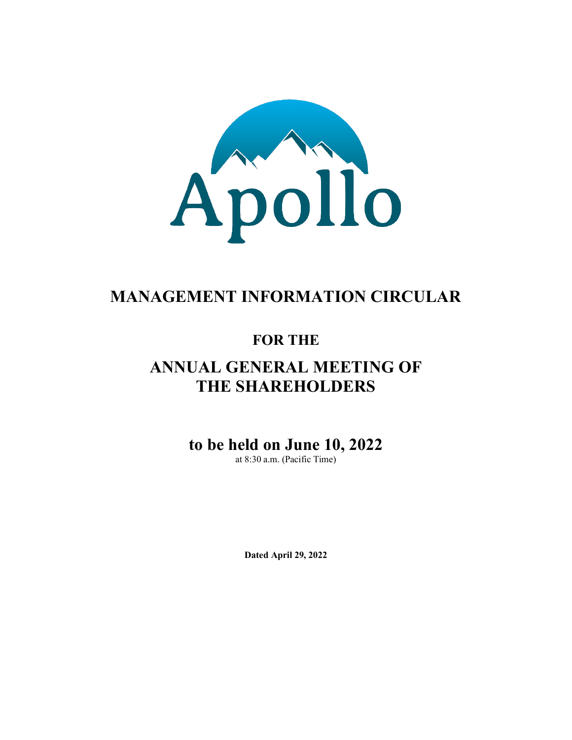

# **MANAGEMENT INFORMATION CIRCULAR**

# **FOR THE**

# **ANNUAL GENERAL MEETING OF THE SHAREHOLDERS**

# **to be held on June 10, 2022**

at 8:30 a.m. (Pacific Time)

**Dated April 29, 2022**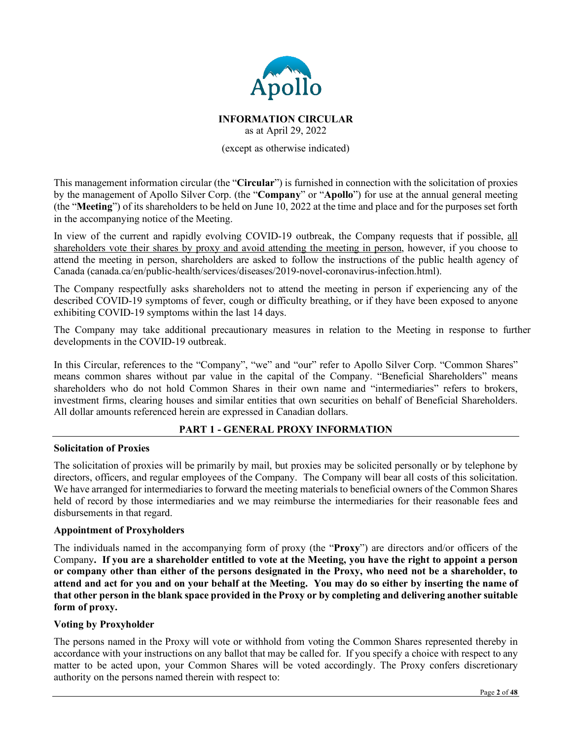

# **INFORMATION CIRCULAR** as at April 29, 2022

(except as otherwise indicated)

This management information circular (the "**Circular**") is furnished in connection with the solicitation of proxies by the management of Apollo Silver Corp. (the "**Company**" or "**Apollo**") for use at the annual general meeting (the "**Meeting**") of its shareholders to be held on June 10, 2022 at the time and place and for the purposes set forth in the accompanying notice of the Meeting.

In view of the current and rapidly evolving COVID-19 outbreak, the Company requests that if possible, all shareholders vote their shares by proxy and avoid attending the meeting in person, however, if you choose to attend the meeting in person, shareholders are asked to follow the instructions of the public health agency of Canada (canada.ca/en/public-health/services/diseases/2019-novel-coronavirus-infection.html).

The Company respectfully asks shareholders not to attend the meeting in person if experiencing any of the described COVID-19 symptoms of fever, cough or difficulty breathing, or if they have been exposed to anyone exhibiting COVID-19 symptoms within the last 14 days.

The Company may take additional precautionary measures in relation to the Meeting in response to further developments in the COVID-19 outbreak.

In this Circular, references to the "Company", "we" and "our" refer to Apollo Silver Corp. "Common Shares" means common shares without par value in the capital of the Company. "Beneficial Shareholders" means shareholders who do not hold Common Shares in their own name and "intermediaries" refers to brokers, investment firms, clearing houses and similar entities that own securities on behalf of Beneficial Shareholders. All dollar amounts referenced herein are expressed in Canadian dollars.

# **PART 1 - GENERAL PROXY INFORMATION**

## **Solicitation of Proxies**

The solicitation of proxies will be primarily by mail, but proxies may be solicited personally or by telephone by directors, officers, and regular employees of the Company. The Company will bear all costs of this solicitation. We have arranged for intermediaries to forward the meeting materials to beneficial owners of the Common Shares held of record by those intermediaries and we may reimburse the intermediaries for their reasonable fees and disbursements in that regard.

## **Appointment of Proxyholders**

The individuals named in the accompanying form of proxy (the "**Proxy**") are directors and/or officers of the Company**. If you are a shareholder entitled to vote at the Meeting, you have the right to appoint a person or company other than either of the persons designated in the Proxy, who need not be a shareholder, to attend and act for you and on your behalf at the Meeting. You may do so either by inserting the name of that other person in the blank space provided in the Proxy or by completing and delivering another suitable form of proxy.**

## **Voting by Proxyholder**

The persons named in the Proxy will vote or withhold from voting the Common Shares represented thereby in accordance with your instructions on any ballot that may be called for. If you specify a choice with respect to any matter to be acted upon, your Common Shares will be voted accordingly. The Proxy confers discretionary authority on the persons named therein with respect to: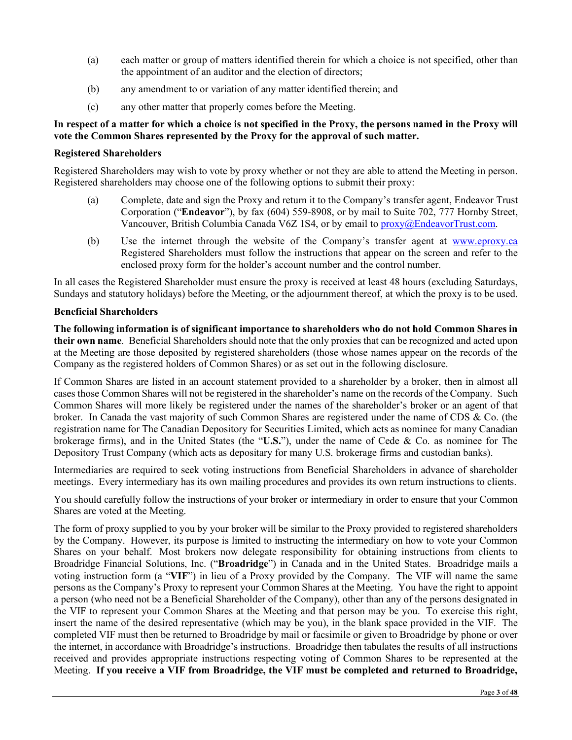- (a) each matter or group of matters identified therein for which a choice is not specified, other than the appointment of an auditor and the election of directors;
- (b) any amendment to or variation of any matter identified therein; and
- (c) any other matter that properly comes before the Meeting.

## **In respect of a matter for which a choice is not specified in the Proxy, the persons named in the Proxy will vote the Common Shares represented by the Proxy for the approval of such matter.**

## **Registered Shareholders**

Registered Shareholders may wish to vote by proxy whether or not they are able to attend the Meeting in person. Registered shareholders may choose one of the following options to submit their proxy:

- (a) Complete, date and sign the Proxy and return it to the Company's transfer agent, Endeavor Trust Corporation ("**Endeavor**"), by fax (604) 559-8908, or by mail to Suite 702, 777 Hornby Street, Vancouver, British Columbia Canada V6Z 1S4, or by email to proxy@EndeavorTrust.com.
- (b) Use the internet through the website of the Company's transfer agent at [www.eproxy.ca](http://www.eproxy.ca/) Registered Shareholders must follow the instructions that appear on the screen and refer to the enclosed proxy form for the holder's account number and the control number.

In all cases the Registered Shareholder must ensure the proxy is received at least 48 hours (excluding Saturdays, Sundays and statutory holidays) before the Meeting, or the adjournment thereof, at which the proxy is to be used.

## **Beneficial Shareholders**

**The following information is of significant importance to shareholders who do not hold Common Shares in their own name**. Beneficial Shareholders should note that the only proxies that can be recognized and acted upon at the Meeting are those deposited by registered shareholders (those whose names appear on the records of the Company as the registered holders of Common Shares) or as set out in the following disclosure.

If Common Shares are listed in an account statement provided to a shareholder by a broker, then in almost all cases those Common Shares will not be registered in the shareholder's name on the records of the Company. Such Common Shares will more likely be registered under the names of the shareholder's broker or an agent of that broker. In Canada the vast majority of such Common Shares are registered under the name of CDS & Co. (the registration name for The Canadian Depository for Securities Limited, which acts as nominee for many Canadian brokerage firms), and in the United States (the "**U.S.**"), under the name of Cede & Co. as nominee for The Depository Trust Company (which acts as depositary for many U.S. brokerage firms and custodian banks).

Intermediaries are required to seek voting instructions from Beneficial Shareholders in advance of shareholder meetings. Every intermediary has its own mailing procedures and provides its own return instructions to clients.

You should carefully follow the instructions of your broker or intermediary in order to ensure that your Common Shares are voted at the Meeting.

The form of proxy supplied to you by your broker will be similar to the Proxy provided to registered shareholders by the Company. However, its purpose is limited to instructing the intermediary on how to vote your Common Shares on your behalf. Most brokers now delegate responsibility for obtaining instructions from clients to Broadridge Financial Solutions, Inc. ("**Broadridge**") in Canada and in the United States. Broadridge mails a voting instruction form (a "**VIF**") in lieu of a Proxy provided by the Company. The VIF will name the same persons as the Company's Proxy to represent your Common Shares at the Meeting. You have the right to appoint a person (who need not be a Beneficial Shareholder of the Company), other than any of the persons designated in the VIF to represent your Common Shares at the Meeting and that person may be you. To exercise this right, insert the name of the desired representative (which may be you), in the blank space provided in the VIF. The completed VIF must then be returned to Broadridge by mail or facsimile or given to Broadridge by phone or over the internet, in accordance with Broadridge's instructions. Broadridge then tabulates the results of all instructions received and provides appropriate instructions respecting voting of Common Shares to be represented at the Meeting. **If you receive a VIF from Broadridge, the VIF must be completed and returned to Broadridge,**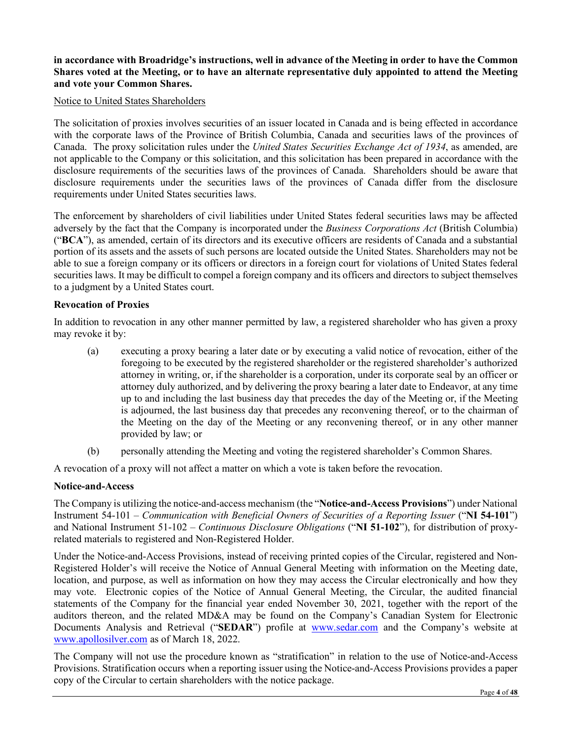## **in accordance with Broadridge's instructions, well in advance of the Meeting in order to have the Common Shares voted at the Meeting, or to have an alternate representative duly appointed to attend the Meeting and vote your Common Shares.**

#### Notice to United States Shareholders

The solicitation of proxies involves securities of an issuer located in Canada and is being effected in accordance with the corporate laws of the Province of British Columbia, Canada and securities laws of the provinces of Canada. The proxy solicitation rules under the *United States Securities Exchange Act of 1934*, as amended, are not applicable to the Company or this solicitation, and this solicitation has been prepared in accordance with the disclosure requirements of the securities laws of the provinces of Canada. Shareholders should be aware that disclosure requirements under the securities laws of the provinces of Canada differ from the disclosure requirements under United States securities laws.

The enforcement by shareholders of civil liabilities under United States federal securities laws may be affected adversely by the fact that the Company is incorporated under the *Business Corporations Act* (British Columbia) ("**BCA**"), as amended, certain of its directors and its executive officers are residents of Canada and a substantial portion of its assets and the assets of such persons are located outside the United States. Shareholders may not be able to sue a foreign company or its officers or directors in a foreign court for violations of United States federal securities laws. It may be difficult to compel a foreign company and its officers and directors to subject themselves to a judgment by a United States court.

#### **Revocation of Proxies**

In addition to revocation in any other manner permitted by law, a registered shareholder who has given a proxy may revoke it by:

- (a) executing a proxy bearing a later date or by executing a valid notice of revocation, either of the foregoing to be executed by the registered shareholder or the registered shareholder's authorized attorney in writing, or, if the shareholder is a corporation, under its corporate seal by an officer or attorney duly authorized, and by delivering the proxy bearing a later date to Endeavor, at any time up to and including the last business day that precedes the day of the Meeting or, if the Meeting is adjourned, the last business day that precedes any reconvening thereof, or to the chairman of the Meeting on the day of the Meeting or any reconvening thereof, or in any other manner provided by law; or
- (b) personally attending the Meeting and voting the registered shareholder's Common Shares.

A revocation of a proxy will not affect a matter on which a vote is taken before the revocation.

#### **Notice-and-Access**

The Company is utilizing the notice-and-access mechanism (the "**Notice-and-Access Provisions**") under National Instrument 54-101 – *Communication with Beneficial Owners of Securities of a Reporting Issuer* ("**NI 54-101**") and National Instrument 51-102 – *Continuous Disclosure Obligations* ("**NI 51-102**"), for distribution of proxyrelated materials to registered and Non-Registered Holder.

Under the Notice-and-Access Provisions, instead of receiving printed copies of the Circular, registered and Non-Registered Holder's will receive the Notice of Annual General Meeting with information on the Meeting date, location, and purpose, as well as information on how they may access the Circular electronically and how they may vote. Electronic copies of the Notice of Annual General Meeting, the Circular, the audited financial statements of the Company for the financial year ended November 30, 2021, together with the report of the auditors thereon, and the related MD&A may be found on the Company's Canadian System for Electronic Documents Analysis and Retrieval ("**SEDAR**") profile at [www.sedar.com](http://www.sedar.com/) and the Company's website at [www.apollosilver.com](http://www.apollosilver.com/) as of March 18, 2022.

The Company will not use the procedure known as "stratification" in relation to the use of Notice-and-Access Provisions. Stratification occurs when a reporting issuer using the Notice-and-Access Provisions provides a paper copy of the Circular to certain shareholders with the notice package.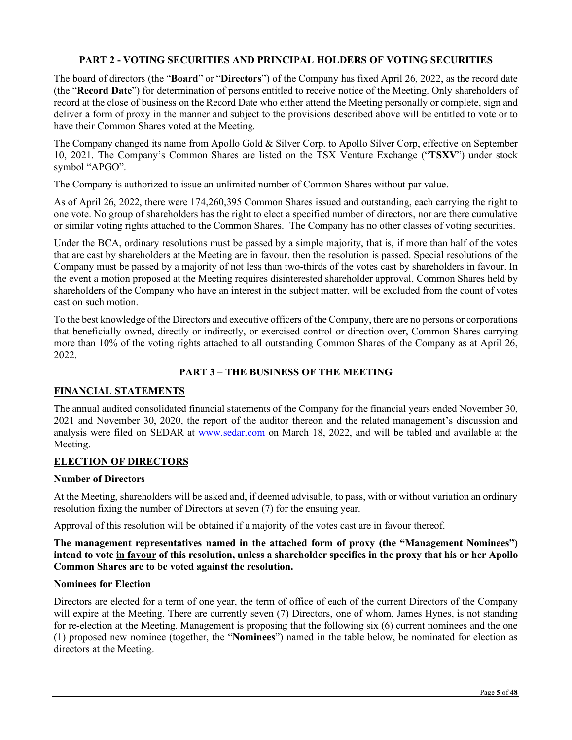# **PART 2 - VOTING SECURITIES AND PRINCIPAL HOLDERS OF VOTING SECURITIES**

The board of directors (the "**Board**" or "**Directors**") of the Company has fixed April 26, 2022, as the record date (the "**Record Date**") for determination of persons entitled to receive notice of the Meeting. Only shareholders of record at the close of business on the Record Date who either attend the Meeting personally or complete, sign and deliver a form of proxy in the manner and subject to the provisions described above will be entitled to vote or to have their Common Shares voted at the Meeting.

The Company changed its name from Apollo Gold & Silver Corp. to Apollo Silver Corp, effective on September 10, 2021. The Company's Common Shares are listed on the TSX Venture Exchange ("**TSXV**") under stock symbol "APGO".

The Company is authorized to issue an unlimited number of Common Shares without par value.

As of April 26, 2022, there were 174,260,395 Common Shares issued and outstanding, each carrying the right to one vote. No group of shareholders has the right to elect a specified number of directors, nor are there cumulative or similar voting rights attached to the Common Shares. The Company has no other classes of voting securities.

Under the BCA, ordinary resolutions must be passed by a simple majority, that is, if more than half of the votes that are cast by shareholders at the Meeting are in favour, then the resolution is passed. Special resolutions of the Company must be passed by a majority of not less than two-thirds of the votes cast by shareholders in favour. In the event a motion proposed at the Meeting requires disinterested shareholder approval, Common Shares held by shareholders of the Company who have an interest in the subject matter, will be excluded from the count of votes cast on such motion.

To the best knowledge of the Directors and executive officers of the Company, there are no persons or corporations that beneficially owned, directly or indirectly, or exercised control or direction over, Common Shares carrying more than 10% of the voting rights attached to all outstanding Common Shares of the Company as at April 26, 2022.

# **PART 3 – THE BUSINESS OF THE MEETING**

## **FINANCIAL STATEMENTS**

The annual audited consolidated financial statements of the Company for the financial years ended November 30, 2021 and November 30, 2020, the report of the auditor thereon and the related management's discussion and analysis were filed on SEDAR at www.sedar.com on March 18, 2022, and will be tabled and available at the Meeting.

## **ELECTION OF DIRECTORS**

## **Number of Directors**

At the Meeting, shareholders will be asked and, if deemed advisable, to pass, with or without variation an ordinary resolution fixing the number of Directors at seven (7) for the ensuing year.

Approval of this resolution will be obtained if a majority of the votes cast are in favour thereof.

**The management representatives named in the attached form of proxy (the "Management Nominees") intend to vote in favour of this resolution, unless a shareholder specifies in the proxy that his or her Apollo Common Shares are to be voted against the resolution.**

## **Nominees for Election**

Directors are elected for a term of one year, the term of office of each of the current Directors of the Company will expire at the Meeting. There are currently seven (7) Directors, one of whom, James Hynes, is not standing for re-election at the Meeting. Management is proposing that the following six (6) current nominees and the one (1) proposed new nominee (together, the "**Nominees**") named in the table below, be nominated for election as directors at the Meeting.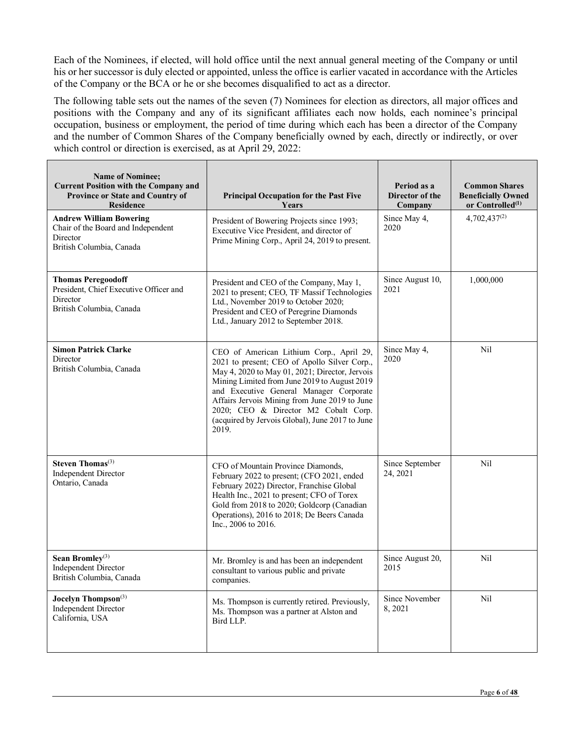Each of the Nominees, if elected, will hold office until the next annual general meeting of the Company or until his or her successor is duly elected or appointed, unless the office is earlier vacated in accordance with the Articles of the Company or the BCA or he or she becomes disqualified to act as a director.

The following table sets out the names of the seven (7) Nominees for election as directors, all major offices and positions with the Company and any of its significant affiliates each now holds, each nominee's principal occupation, business or employment, the period of time during which each has been a director of the Company and the number of Common Shares of the Company beneficially owned by each, directly or indirectly, or over which control or direction is exercised, as at April 29, 2022:

| <b>Name of Nominee;</b><br><b>Current Position with the Company and</b><br>Province or State and Country of<br><b>Residence</b> | <b>Principal Occupation for the Past Five</b><br>Years                                                                                                                                                                                                                                                                                                                                     | Period as a<br>Director of the<br>Company | <b>Common Shares</b><br><b>Beneficially Owned</b><br>or Controlled <sup>(1)</sup> |
|---------------------------------------------------------------------------------------------------------------------------------|--------------------------------------------------------------------------------------------------------------------------------------------------------------------------------------------------------------------------------------------------------------------------------------------------------------------------------------------------------------------------------------------|-------------------------------------------|-----------------------------------------------------------------------------------|
| <b>Andrew William Bowering</b><br>Chair of the Board and Independent<br>Director<br>British Columbia, Canada                    | President of Bowering Projects since 1993;<br>Executive Vice President, and director of<br>Prime Mining Corp., April 24, 2019 to present.                                                                                                                                                                                                                                                  | Since May 4,<br>2020                      | $4,702,437^{(2)}$                                                                 |
| <b>Thomas Peregoodoff</b><br>President, Chief Executive Officer and<br>Director<br>British Columbia, Canada                     | President and CEO of the Company, May 1,<br>2021 to present; CEO, TF Massif Technologies<br>Ltd., November 2019 to October 2020;<br>President and CEO of Peregrine Diamonds<br>Ltd., January 2012 to September 2018.                                                                                                                                                                       | Since August 10,<br>2021                  | 1,000,000                                                                         |
| <b>Simon Patrick Clarke</b><br>Director<br>British Columbia, Canada                                                             | CEO of American Lithium Corp., April 29,<br>2021 to present; CEO of Apollo Silver Corp.,<br>May 4, 2020 to May 01, 2021; Director, Jervois<br>Mining Limited from June 2019 to August 2019<br>and Executive General Manager Corporate<br>Affairs Jervois Mining from June 2019 to June<br>2020; CEO & Director M2 Cobalt Corp.<br>(acquired by Jervois Global), June 2017 to June<br>2019. | Since May 4,<br>2020                      | Nil                                                                               |
| <b>Steven Thomas</b> <sup>(3)</sup><br><b>Independent Director</b><br>Ontario, Canada                                           | CFO of Mountain Province Diamonds,<br>February 2022 to present; (CFO 2021, ended<br>February 2022) Director, Franchise Global<br>Health Inc., 2021 to present; CFO of Torex<br>Gold from 2018 to 2020; Goldcorp (Canadian<br>Operations), 2016 to 2018; De Beers Canada<br>Inc., 2006 to 2016.                                                                                             | Since September<br>24, 2021               | N <sub>il</sub>                                                                   |
| Sean Bromley $(3)$<br><b>Independent Director</b><br>British Columbia, Canada                                                   | Mr. Bromley is and has been an independent<br>consultant to various public and private<br>companies.                                                                                                                                                                                                                                                                                       | Since August 20,<br>2015                  | Nil                                                                               |
| Jocelyn Thompson <sup>(3)</sup><br><b>Independent Director</b><br>California, USA                                               | Ms. Thompson is currently retired. Previously,<br>Ms. Thompson was a partner at Alston and<br>Bird LLP.                                                                                                                                                                                                                                                                                    | Since November<br>8,2021                  | Nil                                                                               |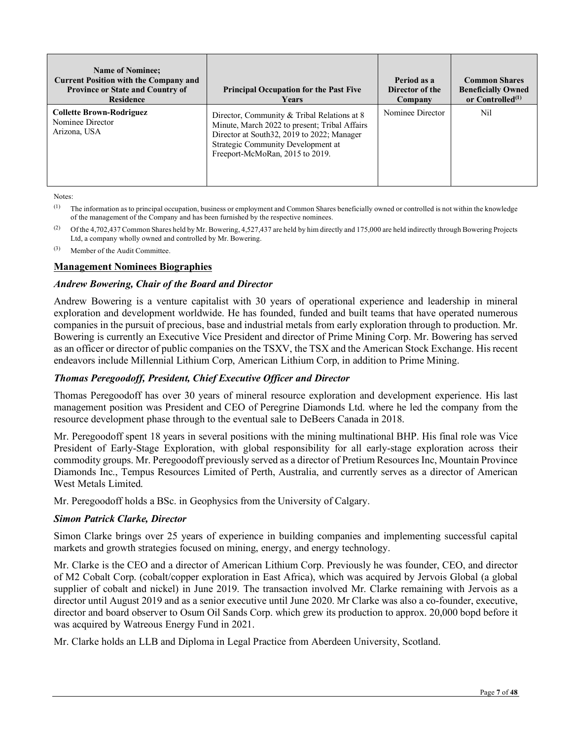| <b>Name of Nominee:</b><br><b>Current Position with the Company and</b><br><b>Province or State and Country of</b><br><b>Residence</b> | <b>Principal Occupation for the Past Five</b><br><b>Years</b>                                                                                                                                                        | Period as a<br>Director of the<br>Company | <b>Common Shares</b><br><b>Beneficially Owned</b><br>or Controlled $(1)$ |
|----------------------------------------------------------------------------------------------------------------------------------------|----------------------------------------------------------------------------------------------------------------------------------------------------------------------------------------------------------------------|-------------------------------------------|--------------------------------------------------------------------------|
| <b>Collette Brown-Rodriguez</b><br>Nominee Director<br>Arizona, USA                                                                    | Director, Community & Tribal Relations at 8<br>Minute, March 2022 to present; Tribal Affairs<br>Director at South 32, 2019 to 2022; Manager<br>Strategic Community Development at<br>Freeport-McMoRan, 2015 to 2019. | Nominee Director                          | Nil                                                                      |

Notes:

<sup>(1)</sup> The information as to principal occupation, business or employment and Common Shares beneficially owned or controlled is not within the knowledge of the management of the Company and has been furnished by the respective nominees.

<sup>(2)</sup> Of the 4,702,437 Common Shares held by Mr. Bowering, 4,527,437 are held by him directly and 175,000 are held indirectly through Bowering Projects Ltd, a company wholly owned and controlled by Mr. Bowering.

(3) Member of the Audit Committee.

# **Management Nominees Biographies**

#### *Andrew Bowering, Chair of the Board and Director*

Andrew Bowering is a venture capitalist with 30 years of operational experience and leadership in mineral exploration and development worldwide. He has founded, funded and built teams that have operated numerous companies in the pursuit of precious, base and industrial metals from early exploration through to production. Mr. Bowering is currently an Executive Vice President and director of Prime Mining Corp. Mr. Bowering has served as an officer or director of public companies on the TSXV, the TSX and the American Stock Exchange. His recent endeavors include Millennial Lithium Corp, American Lithium Corp, in addition to Prime Mining.

## *Thomas Peregoodoff, President, Chief Executive Officer and Director*

Thomas Peregoodoff has over 30 years of mineral resource exploration and development experience. His last management position was President and CEO of Peregrine Diamonds Ltd. where he led the company from the resource development phase through to the eventual sale to DeBeers Canada in 2018.

Mr. Peregoodoff spent 18 years in several positions with the mining multinational BHP. His final role was Vice President of Early-Stage Exploration, with global responsibility for all early-stage exploration across their commodity groups. Mr. Peregoodoff previously served as a director of Pretium Resources Inc, Mountain Province Diamonds Inc., Tempus Resources Limited of Perth, Australia, and currently serves as a director of American West Metals Limited.

Mr. Peregoodoff holds a BSc. in Geophysics from the University of Calgary.

## *Simon Patrick Clarke, Director*

Simon Clarke brings over 25 years of experience in building companies and implementing successful capital markets and growth strategies focused on mining, energy, and energy technology.

Mr. Clarke is the CEO and a director of American Lithium Corp. Previously he was founder, CEO, and director of M2 Cobalt Corp. (cobalt/copper exploration in East Africa), which was acquired by Jervois Global (a global supplier of cobalt and nickel) in June 2019. The transaction involved Mr. Clarke remaining with Jervois as a director until August 2019 and as a senior executive until June 2020. Mr Clarke was also a co-founder, executive, director and board observer to Osum Oil Sands Corp. which grew its production to approx. 20,000 bopd before it was acquired by Watreous Energy Fund in 2021.

Mr. Clarke holds an LLB and Diploma in Legal Practice from Aberdeen University, Scotland.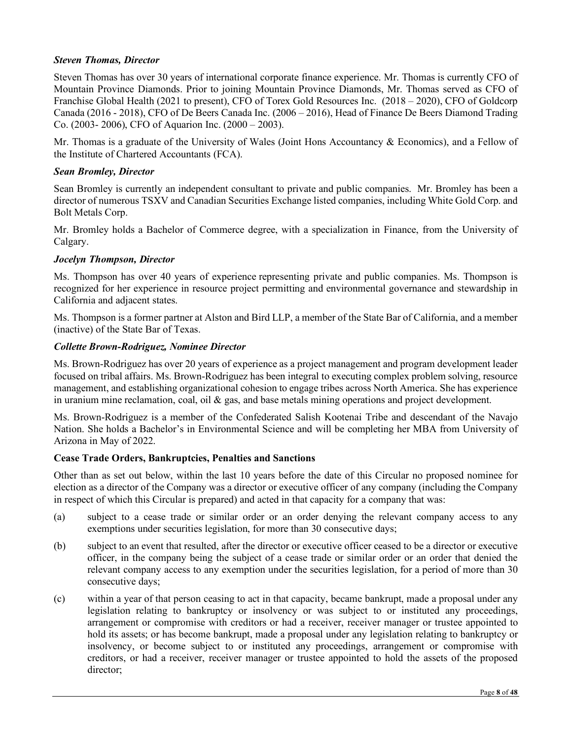## *Steven Thomas, Director*

Steven Thomas has over 30 years of international corporate finance experience. Mr. Thomas is currently CFO of Mountain Province Diamonds. Prior to joining Mountain Province Diamonds, Mr. Thomas served as CFO of Franchise Global Health (2021 to present), CFO of Torex Gold Resources Inc. (2018 – 2020), CFO of Goldcorp Canada (2016 - 2018), CFO of De Beers Canada Inc. (2006 – 2016), Head of Finance De Beers Diamond Trading Co. (2003- 2006), CFO of Aquarion Inc. (2000 – 2003).

Mr. Thomas is a graduate of the University of Wales (Joint Hons Accountancy & Economics), and a Fellow of the Institute of Chartered Accountants (FCA).

## *Sean Bromley, Director*

Sean Bromley is currently an independent consultant to private and public companies. Mr. Bromley has been a director of numerous TSXV and Canadian Securities Exchange listed companies, including White Gold Corp. and Bolt Metals Corp.

Mr. Bromley holds a Bachelor of Commerce degree, with a specialization in Finance, from the University of Calgary.

# *Jocelyn Thompson, Director*

Ms. Thompson has over 40 years of experience representing private and public companies. Ms. Thompson is recognized for her experience in resource project permitting and environmental governance and stewardship in California and adjacent states.

Ms. Thompson is a former partner at Alston and Bird LLP, a member of the State Bar of California, and a member (inactive) of the State Bar of Texas.

# *Collette Brown-Rodriguez, Nominee Director*

Ms. Brown-Rodriguez has over 20 years of experience as a project management and program development leader focused on tribal affairs. Ms. Brown-Rodriguez has been integral to executing complex problem solving, resource management, and establishing organizational cohesion to engage tribes across North America. She has experience in uranium mine reclamation, coal, oil  $\&$  gas, and base metals mining operations and project development.

Ms. Brown-Rodriguez is a member of the Confederated Salish Kootenai Tribe and descendant of the Navajo Nation. She holds a Bachelor's in Environmental Science and will be completing her MBA from University of Arizona in May of 2022.

## **Cease Trade Orders, Bankruptcies, Penalties and Sanctions**

Other than as set out below, within the last 10 years before the date of this Circular no proposed nominee for election as a director of the Company was a director or executive officer of any company (including the Company in respect of which this Circular is prepared) and acted in that capacity for a company that was:

- (a) subject to a cease trade or similar order or an order denying the relevant company access to any exemptions under securities legislation, for more than 30 consecutive days;
- (b) subject to an event that resulted, after the director or executive officer ceased to be a director or executive officer, in the company being the subject of a cease trade or similar order or an order that denied the relevant company access to any exemption under the securities legislation, for a period of more than 30 consecutive days;
- (c) within a year of that person ceasing to act in that capacity, became bankrupt, made a proposal under any legislation relating to bankruptcy or insolvency or was subject to or instituted any proceedings, arrangement or compromise with creditors or had a receiver, receiver manager or trustee appointed to hold its assets; or has become bankrupt, made a proposal under any legislation relating to bankruptcy or insolvency, or become subject to or instituted any proceedings, arrangement or compromise with creditors, or had a receiver, receiver manager or trustee appointed to hold the assets of the proposed director;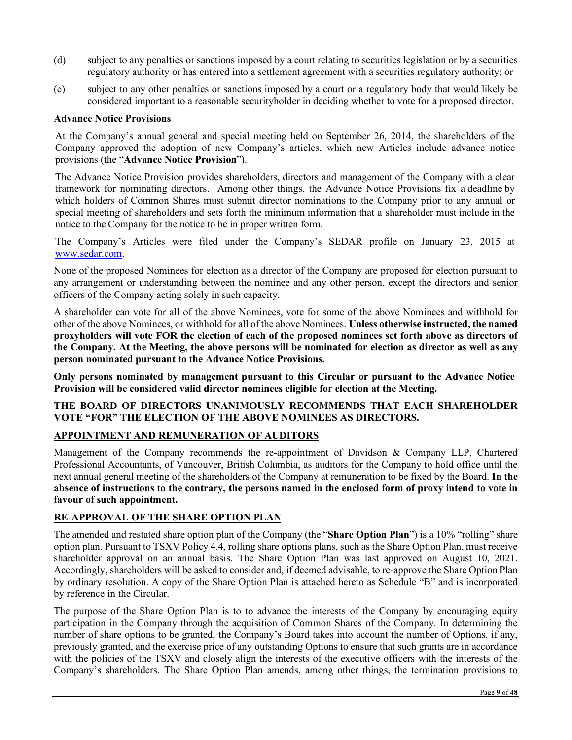- (d) subject to any penalties or sanctions imposed by a court relating to securities legislation or by a securities regulatory authority or has entered into a settlement agreement with a securities regulatory authority; or
- (e) subject to any other penalties or sanctions imposed by a court or a regulatory body that would likely be considered important to a reasonable securityholder in deciding whether to vote for a proposed director.

#### **Advance Notice Provisions**

At the Company's annual general and special meeting held on September 26, 2014, the shareholders of the Company approved the adoption of new Company's articles, which new Articles include advance notice provisions (the "**Advance Notice Provision**").

The Advance Notice Provision provides shareholders, directors and management of the Company with a clear framework for nominating directors. Among other things, the Advance Notice Provisions fix a deadline by which holders of Common Shares must submit director nominations to the Company prior to any annual or special meeting of shareholders and sets forth the minimum information that a shareholder must include in the notice to the Company for the notice to be in proper written form.

The Company's Articles were filed under the Company's SEDAR profile on January 23, 2015 at [www.sedar.com.](http://www.sedar.com/)

None of the proposed Nominees for election as a director of the Company are proposed for election pursuant to any arrangement or understanding between the nominee and any other person, except the directors and senior officers of the Company acting solely in such capacity.

A shareholder can vote for all of the above Nominees, vote for some of the above Nominees and withhold for other of the above Nominees, or withhold for all of the above Nominees. **Unless otherwise instructed, the named proxyholders will vote FOR the election of each of the proposed nominees set forth above as directors of the Company. At the Meeting, the above persons will be nominated for election as director as well as any person nominated pursuant to the Advance Notice Provisions.** 

**Only persons nominated by management pursuant to this Circular or pursuant to the Advance Notice Provision will be considered valid director nominees eligible for election at the Meeting.**

## **THE BOARD OF DIRECTORS UNANIMOUSLY RECOMMENDS THAT EACH SHAREHOLDER VOTE "FOR" THE ELECTION OF THE ABOVE NOMINEES AS DIRECTORS.**

## **APPOINTMENT AND REMUNERATION OF AUDITORS**

Management of the Company recommends the re-appointment of Davidson & Company LLP, Chartered Professional Accountants, of Vancouver, British Columbia, as auditors for the Company to hold office until the next annual general meeting of the shareholders of the Company at remuneration to be fixed by the Board. **In the absence of instructions to the contrary, the persons named in the enclosed form of proxy intend to vote in favour of such appointment.** 

## **RE-APPROVAL OF THE SHARE OPTION PLAN**

The amended and restated share option plan of the Company (the "**Share Option Plan**") is a 10% "rolling" share option plan. Pursuant to TSXV Policy 4.4, rolling share options plans, such as the Share Option Plan, must receive shareholder approval on an annual basis. The Share Option Plan was last approved on August 10, 2021. Accordingly, shareholders will be asked to consider and, if deemed advisable, to re-approve the Share Option Plan by ordinary resolution. A copy of the Share Option Plan is attached hereto as Schedule "B" and is incorporated by reference in the Circular.

The purpose of the Share Option Plan is to to advance the interests of the Company by encouraging equity participation in the Company through the acquisition of Common Shares of the Company. In determining the number of share options to be granted, the Company's Board takes into account the number of Options, if any, previously granted, and the exercise price of any outstanding Options to ensure that such grants are in accordance with the policies of the TSXV and closely align the interests of the executive officers with the interests of the Company's shareholders. The Share Option Plan amends, among other things, the termination provisions to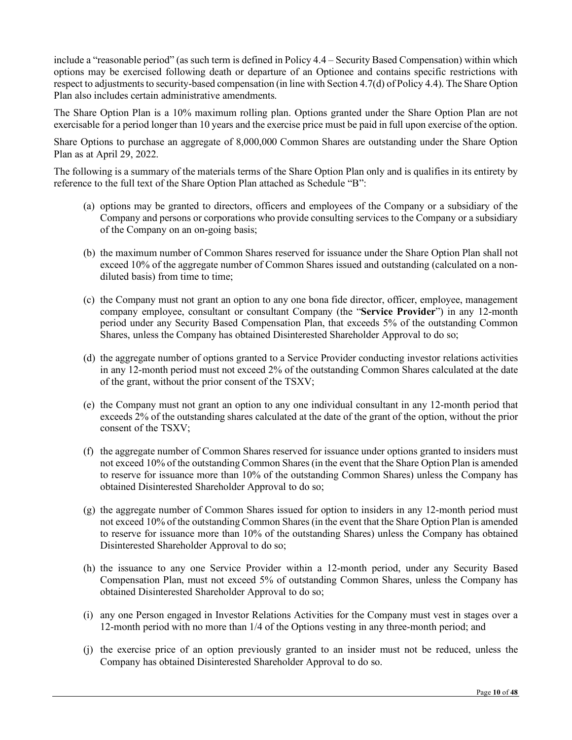include a "reasonable period" (as such term is defined in Policy 4.4 – Security Based Compensation) within which options may be exercised following death or departure of an Optionee and contains specific restrictions with respect to adjustments to security-based compensation (in line with Section 4.7(d) of Policy 4.4). The Share Option Plan also includes certain administrative amendments.

The Share Option Plan is a 10% maximum rolling plan. Options granted under the Share Option Plan are not exercisable for a period longer than 10 years and the exercise price must be paid in full upon exercise of the option.

Share Options to purchase an aggregate of 8,000,000 Common Shares are outstanding under the Share Option Plan as at April 29, 2022.

The following is a summary of the materials terms of the Share Option Plan only and is qualifies in its entirety by reference to the full text of the Share Option Plan attached as Schedule "B":

- (a) options may be granted to directors, officers and employees of the Company or a subsidiary of the Company and persons or corporations who provide consulting services to the Company or a subsidiary of the Company on an on-going basis;
- (b) the maximum number of Common Shares reserved for issuance under the Share Option Plan shall not exceed 10% of the aggregate number of Common Shares issued and outstanding (calculated on a nondiluted basis) from time to time;
- (c) the Company must not grant an option to any one bona fide director, officer, employee, management company employee, consultant or consultant Company (the "**Service Provider**") in any 12-month period under any Security Based Compensation Plan, that exceeds 5% of the outstanding Common Shares, unless the Company has obtained Disinterested Shareholder Approval to do so;
- (d) the aggregate number of options granted to a Service Provider conducting investor relations activities in any 12-month period must not exceed 2% of the outstanding Common Shares calculated at the date of the grant, without the prior consent of the TSXV;
- (e) the Company must not grant an option to any one individual consultant in any 12-month period that exceeds 2% of the outstanding shares calculated at the date of the grant of the option, without the prior consent of the TSXV;
- (f) the aggregate number of Common Shares reserved for issuance under options granted to insiders must not exceed 10% of the outstanding Common Shares (in the event that the Share Option Plan is amended to reserve for issuance more than 10% of the outstanding Common Shares) unless the Company has obtained Disinterested Shareholder Approval to do so;
- (g) the aggregate number of Common Shares issued for option to insiders in any 12-month period must not exceed 10% of the outstanding Common Shares (in the event that the Share Option Plan is amended to reserve for issuance more than 10% of the outstanding Shares) unless the Company has obtained Disinterested Shareholder Approval to do so;
- (h) the issuance to any one Service Provider within a 12-month period, under any Security Based Compensation Plan, must not exceed 5% of outstanding Common Shares, unless the Company has obtained Disinterested Shareholder Approval to do so;
- (i) any one Person engaged in Investor Relations Activities for the Company must vest in stages over a 12-month period with no more than 1/4 of the Options vesting in any three-month period; and
- (j) the exercise price of an option previously granted to an insider must not be reduced, unless the Company has obtained Disinterested Shareholder Approval to do so.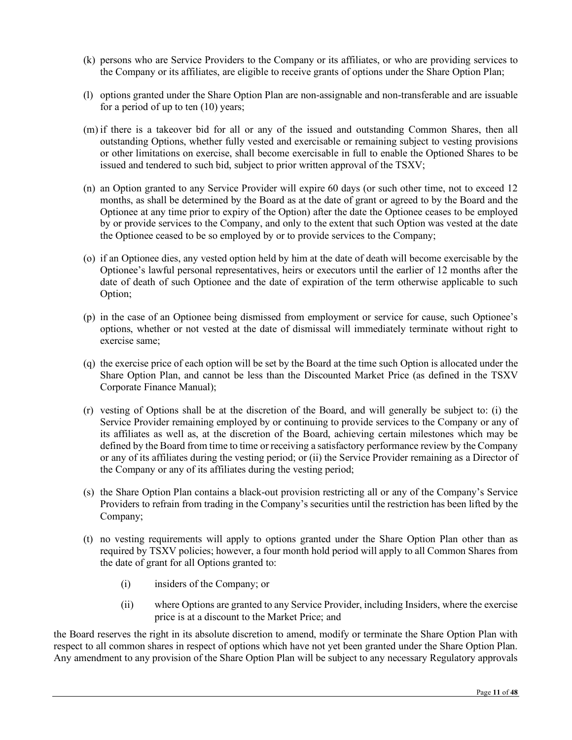- (k) persons who are Service Providers to the Company or its affiliates, or who are providing services to the Company or its affiliates, are eligible to receive grants of options under the Share Option Plan;
- (l) options granted under the Share Option Plan are non-assignable and non-transferable and are issuable for a period of up to ten (10) years;
- (m) if there is a takeover bid for all or any of the issued and outstanding Common Shares, then all outstanding Options, whether fully vested and exercisable or remaining subject to vesting provisions or other limitations on exercise, shall become exercisable in full to enable the Optioned Shares to be issued and tendered to such bid, subject to prior written approval of the TSXV;
- (n) an Option granted to any Service Provider will expire 60 days (or such other time, not to exceed 12 months, as shall be determined by the Board as at the date of grant or agreed to by the Board and the Optionee at any time prior to expiry of the Option) after the date the Optionee ceases to be employed by or provide services to the Company, and only to the extent that such Option was vested at the date the Optionee ceased to be so employed by or to provide services to the Company;
- (o) if an Optionee dies, any vested option held by him at the date of death will become exercisable by the Optionee's lawful personal representatives, heirs or executors until the earlier of 12 months after the date of death of such Optionee and the date of expiration of the term otherwise applicable to such Option;
- (p) in the case of an Optionee being dismissed from employment or service for cause, such Optionee's options, whether or not vested at the date of dismissal will immediately terminate without right to exercise same;
- (q) the exercise price of each option will be set by the Board at the time such Option is allocated under the Share Option Plan, and cannot be less than the Discounted Market Price (as defined in the TSXV Corporate Finance Manual);
- (r) vesting of Options shall be at the discretion of the Board, and will generally be subject to: (i) the Service Provider remaining employed by or continuing to provide services to the Company or any of its affiliates as well as, at the discretion of the Board, achieving certain milestones which may be defined by the Board from time to time or receiving a satisfactory performance review by the Company or any of its affiliates during the vesting period; or (ii) the Service Provider remaining as a Director of the Company or any of its affiliates during the vesting period;
- (s) the Share Option Plan contains a black-out provision restricting all or any of the Company's Service Providers to refrain from trading in the Company's securities until the restriction has been lifted by the Company;
- (t) no vesting requirements will apply to options granted under the Share Option Plan other than as required by TSXV policies; however, a four month hold period will apply to all Common Shares from the date of grant for all Options granted to:
	- (i) insiders of the Company; or
	- (ii) where Options are granted to any Service Provider, including Insiders, where the exercise price is at a discount to the Market Price; and

the Board reserves the right in its absolute discretion to amend, modify or terminate the Share Option Plan with respect to all common shares in respect of options which have not yet been granted under the Share Option Plan. Any amendment to any provision of the Share Option Plan will be subject to any necessary Regulatory approvals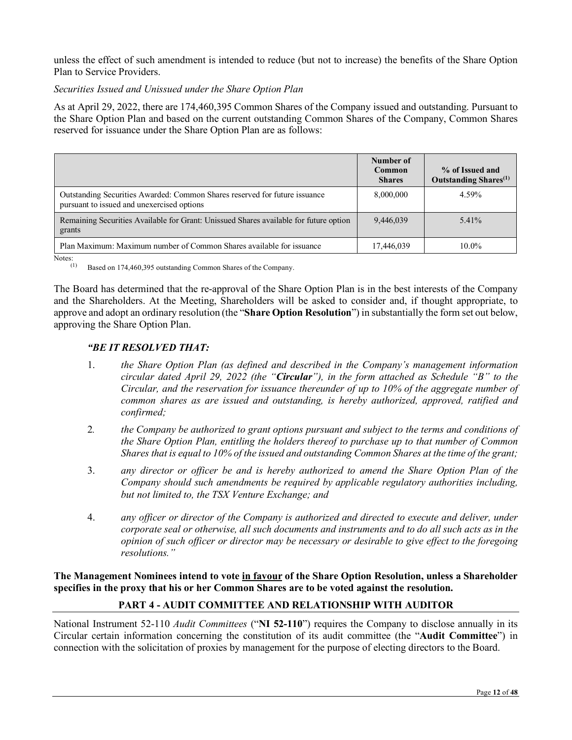unless the effect of such amendment is intended to reduce (but not to increase) the benefits of the Share Option Plan to Service Providers.

## *Securities Issued and Unissued under the Share Option Plan*

As at April 29, 2022, there are 174,460,395 Common Shares of the Company issued and outstanding. Pursuant to the Share Option Plan and based on the current outstanding Common Shares of the Company, Common Shares reserved for issuance under the Share Option Plan are as follows:

|                                                                                                                          | Number of<br>Common<br><b>Shares</b> | % of Issued and<br>Outstanding Shares <sup>(1)</sup> |
|--------------------------------------------------------------------------------------------------------------------------|--------------------------------------|------------------------------------------------------|
| Outstanding Securities Awarded: Common Shares reserved for future issuance<br>pursuant to issued and unexercised options | 8,000,000                            | 4.59%                                                |
| Remaining Securities Available for Grant: Unissued Shares available for future option<br>grants                          | 9,446,039                            | 5.41%                                                |
| Plan Maximum: Maximum number of Common Shares available for issuance                                                     | 17,446,039                           | $10.0\%$                                             |

Notes:  $(1)$ 

Based on 174,460,395 outstanding Common Shares of the Company.

The Board has determined that the re-approval of the Share Option Plan is in the best interests of the Company and the Shareholders. At the Meeting, Shareholders will be asked to consider and, if thought appropriate, to approve and adopt an ordinary resolution (the "**Share Option Resolution**") in substantially the form set out below, approving the Share Option Plan.

# *"BE IT RESOLVED THAT:*

- 1. *the Share Option Plan (as defined and described in the Company's management information circular dated April 29, 2022 (the "Circular"), in the form attached as Schedule "B" to the Circular, and the reservation for issuance thereunder of up to 10% of the aggregate number of common shares as are issued and outstanding, is hereby authorized, approved, ratified and confirmed;*
- 2*. the Company be authorized to grant options pursuant and subject to the terms and conditions of the Share Option Plan, entitling the holders thereof to purchase up to that number of Common Shares that is equal to 10% of the issued and outstanding Common Shares at the time of the grant;*
- 3. *any director or officer be and is hereby authorized to amend the Share Option Plan of the Company should such amendments be required by applicable regulatory authorities including, but not limited to, the TSX Venture Exchange; and*
- 4. *any officer or director of the Company is authorized and directed to execute and deliver, under corporate seal or otherwise, all such documents and instruments and to do all such acts as in the opinion of such officer or director may be necessary or desirable to give effect to the foregoing resolutions."*

**The Management Nominees intend to vote in favour of the Share Option Resolution, unless a Shareholder specifies in the proxy that his or her Common Shares are to be voted against the resolution.**

# **PART 4 - AUDIT COMMITTEE AND RELATIONSHIP WITH AUDITOR**

National Instrument 52-110 *Audit Committees* ("**NI 52-110**") requires the Company to disclose annually in its Circular certain information concerning the constitution of its audit committee (the "**Audit Committee**") in connection with the solicitation of proxies by management for the purpose of electing directors to the Board.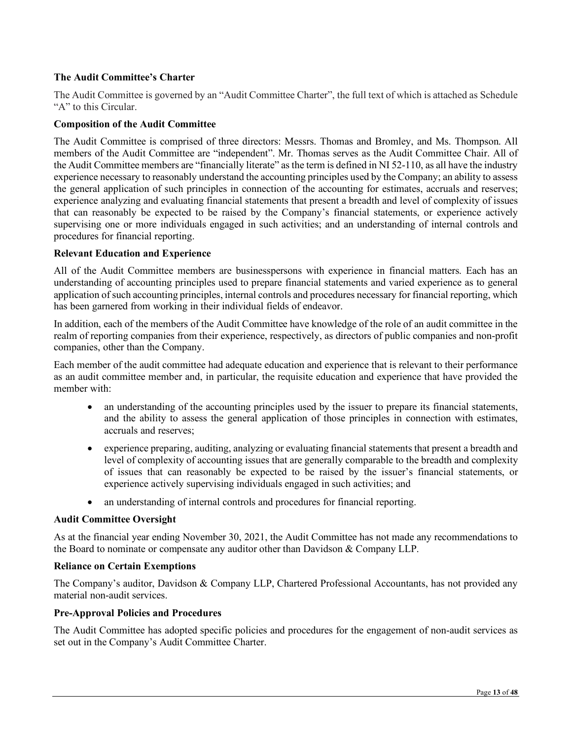# **The Audit Committee's Charter**

The Audit Committee is governed by an "Audit Committee Charter", the full text of which is attached as Schedule "A" to this Circular.

#### **Composition of the Audit Committee**

The Audit Committee is comprised of three directors: Messrs. Thomas and Bromley, and Ms. Thompson. All members of the Audit Committee are "independent". Mr. Thomas serves as the Audit Committee Chair. All of the Audit Committee members are "financially literate" as the term is defined in NI 52-110, as all have the industry experience necessary to reasonably understand the accounting principles used by the Company; an ability to assess the general application of such principles in connection of the accounting for estimates, accruals and reserves; experience analyzing and evaluating financial statements that present a breadth and level of complexity of issues that can reasonably be expected to be raised by the Company's financial statements, or experience actively supervising one or more individuals engaged in such activities; and an understanding of internal controls and procedures for financial reporting.

#### **Relevant Education and Experience**

All of the Audit Committee members are businesspersons with experience in financial matters. Each has an understanding of accounting principles used to prepare financial statements and varied experience as to general application of such accounting principles, internal controls and procedures necessary for financial reporting, which has been garnered from working in their individual fields of endeavor.

In addition, each of the members of the Audit Committee have knowledge of the role of an audit committee in the realm of reporting companies from their experience, respectively, as directors of public companies and non-profit companies, other than the Company.

Each member of the audit committee had adequate education and experience that is relevant to their performance as an audit committee member and, in particular, the requisite education and experience that have provided the member with:

- an understanding of the accounting principles used by the issuer to prepare its financial statements, and the ability to assess the general application of those principles in connection with estimates, accruals and reserves;
- experience preparing, auditing, analyzing or evaluating financial statements that present a breadth and level of complexity of accounting issues that are generally comparable to the breadth and complexity of issues that can reasonably be expected to be raised by the issuer's financial statements, or experience actively supervising individuals engaged in such activities; and
- an understanding of internal controls and procedures for financial reporting.

#### **Audit Committee Oversight**

As at the financial year ending November 30, 2021, the Audit Committee has not made any recommendations to the Board to nominate or compensate any auditor other than Davidson & Company LLP.

#### **Reliance on Certain Exemptions**

The Company's auditor, Davidson & Company LLP, Chartered Professional Accountants, has not provided any material non-audit services.

#### **Pre-Approval Policies and Procedures**

The Audit Committee has adopted specific policies and procedures for the engagement of non-audit services as set out in the Company's Audit Committee Charter.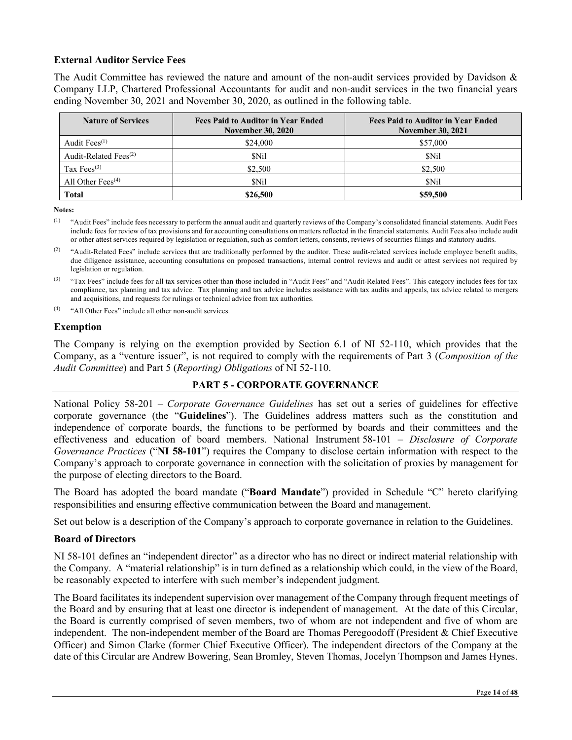## **External Auditor Service Fees**

The Audit Committee has reviewed the nature and amount of the non-audit services provided by Davidson & Company LLP, Chartered Professional Accountants for audit and non-audit services in the two financial years ending November 30, 2021 and November 30, 2020, as outlined in the following table.

| <b>Nature of Services</b>   | <b>Fees Paid to Auditor in Year Ended</b><br><b>November 30, 2020</b> | <b>Fees Paid to Auditor in Year Ended</b><br><b>November 30, 2021</b> |
|-----------------------------|-----------------------------------------------------------------------|-----------------------------------------------------------------------|
| Audit Fees <sup>(1)</sup>   | \$24,000                                                              | \$57,000                                                              |
| Audit-Related Fees $^{(2)}$ | \$Nil                                                                 | \$Nil                                                                 |
| Tax Fees $(3)$              | \$2,500                                                               | \$2,500                                                               |
| All Other Fees $(4)$        | \$Nil                                                                 | \$Nil                                                                 |
| <b>Total</b>                | \$26,500                                                              | \$59,500                                                              |

**Notes:**

(1) "Audit Fees" include fees necessary to perform the annual audit and quarterly reviews of the Company's consolidated financial statements. Audit Fees include fees for review of tax provisions and for accounting consultations on matters reflected in the financial statements. Audit Fees also include audit or other attest services required by legislation or regulation, such as comfort letters, consents, reviews of securities filings and statutory audits.

<sup>(2)</sup> "Audit-Related Fees" include services that are traditionally performed by the auditor. These audit-related services include employee benefit audits, due diligence assistance, accounting consultations on proposed transactions, internal control reviews and audit or attest services not required by legislation or regulation.

(3) "Tax Fees" include fees for all tax services other than those included in "Audit Fees" and "Audit-Related Fees". This category includes fees for tax compliance, tax planning and tax advice. Tax planning and tax advice includes assistance with tax audits and appeals, tax advice related to mergers and acquisitions, and requests for rulings or technical advice from tax authorities.

(4) "All Other Fees" include all other non-audit services.

#### **Exemption**

The Company is relying on the exemption provided by Section 6.1 of NI 52-110, which provides that the Company, as a "venture issuer", is not required to comply with the requirements of Part 3 (*Composition of the Audit Committee*) and Part 5 (*Reporting) Obligations* of NI 52-110.

## **PART 5 - CORPORATE GOVERNANCE**

National Policy 58-201 – *Corporate Governance Guidelines* has set out a series of guidelines for effective corporate governance (the "**Guidelines**"). The Guidelines address matters such as the constitution and independence of corporate boards, the functions to be performed by boards and their committees and the effectiveness and education of board members. National Instrument 58-101 – *Disclosure of Corporate Governance Practices* ("**NI 58-101**") requires the Company to disclose certain information with respect to the Company's approach to corporate governance in connection with the solicitation of proxies by management for the purpose of electing directors to the Board.

The Board has adopted the board mandate ("**Board Mandate**") provided in Schedule "C" hereto clarifying responsibilities and ensuring effective communication between the Board and management.

Set out below is a description of the Company's approach to corporate governance in relation to the Guidelines.

# **Board of Directors**

NI 58-101 defines an "independent director" as a director who has no direct or indirect material relationship with the Company. A "material relationship" is in turn defined as a relationship which could, in the view of the Board, be reasonably expected to interfere with such member's independent judgment.

The Board facilitates its independent supervision over management of the Company through frequent meetings of the Board and by ensuring that at least one director is independent of management. At the date of this Circular, the Board is currently comprised of seven members, two of whom are not independent and five of whom are independent. The non-independent member of the Board are Thomas Peregoodoff (President & Chief Executive Officer) and Simon Clarke (former Chief Executive Officer). The independent directors of the Company at the date of this Circular are Andrew Bowering, Sean Bromley, Steven Thomas, Jocelyn Thompson and James Hynes.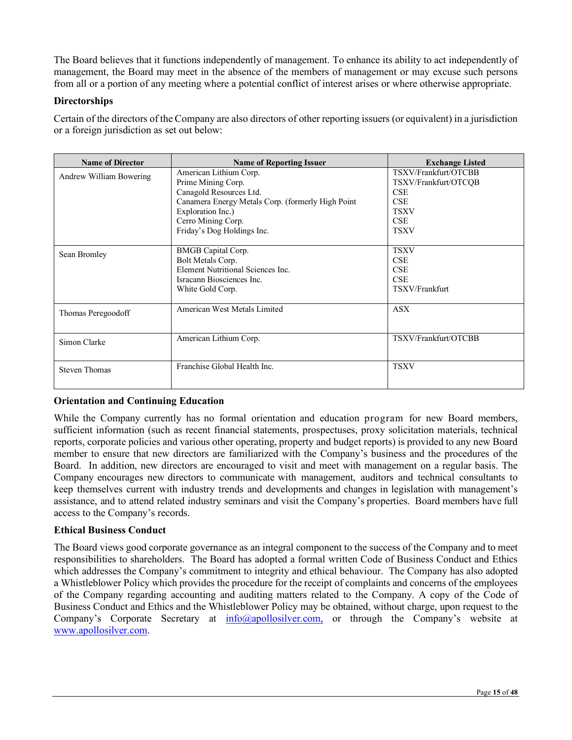The Board believes that it functions independently of management. To enhance its ability to act independently of management, the Board may meet in the absence of the members of management or may excuse such persons from all or a portion of any meeting where a potential conflict of interest arises or where otherwise appropriate.

# **Directorships**

Certain of the directors of the Company are also directors of other reporting issuers (or equivalent) in a jurisdiction or a foreign jurisdiction as set out below:

| <b>Name of Director</b> | <b>Name of Reporting Issuer</b>                                                                                                                                                                       | <b>Exchange Listed</b>                                                                                               |
|-------------------------|-------------------------------------------------------------------------------------------------------------------------------------------------------------------------------------------------------|----------------------------------------------------------------------------------------------------------------------|
| Andrew William Bowering | American Lithium Corp.<br>Prime Mining Corp.<br>Canagold Resources Ltd.<br>Canamera Energy Metals Corp. (formerly High Point<br>Exploration Inc.)<br>Cerro Mining Corp.<br>Friday's Dog Holdings Inc. | TSXV/Frankfurt/OTCBB<br>TSXV/Frankfurt/OTCQB<br><b>CSE</b><br><b>CSE</b><br><b>TSXV</b><br><b>CSE</b><br><b>TSXV</b> |
| Sean Bromley            | BMGB Capital Corp.<br>Bolt Metals Corp.<br>Element Nutritional Sciences Inc.<br>Isracann Biosciences Inc.<br>White Gold Corp.                                                                         | <b>TSXV</b><br><b>CSE</b><br><b>CSE</b><br><b>CSE</b><br>TSXV/Frankfurt                                              |
| Thomas Peregoodoff      | American West Metals Limited                                                                                                                                                                          | <b>ASX</b>                                                                                                           |
| Simon Clarke            | American Lithium Corp.                                                                                                                                                                                | TSXV/Frankfurt/OTCBB                                                                                                 |
| <b>Steven Thomas</b>    | Franchise Global Health Inc.                                                                                                                                                                          | <b>TSXV</b>                                                                                                          |

# **Orientation and Continuing Education**

While the Company currently has no formal orientation and education program for new Board members, sufficient information (such as recent financial statements, prospectuses, proxy solicitation materials, technical reports, corporate policies and various other operating, property and budget reports) is provided to any new Board member to ensure that new directors are familiarized with the Company's business and the procedures of the Board. In addition, new directors are encouraged to visit and meet with management on a regular basis. The Company encourages new directors to communicate with management, auditors and technical consultants to keep themselves current with industry trends and developments and changes in legislation with management's assistance, and to attend related industry seminars and visit the Company's properties. Board members have full access to the Company's records.

## **Ethical Business Conduct**

The Board views good corporate governance as an integral component to the success of the Company and to meet responsibilities to shareholders. The Board has adopted a formal written Code of Business Conduct and Ethics which addresses the Company's commitment to integrity and ethical behaviour. The Company has also adopted a Whistleblower Policy which provides the procedure for the receipt of complaints and concerns of the employees of the Company regarding accounting and auditing matters related to the Company. A copy of the Code of Business Conduct and Ethics and the Whistleblower Policy may be obtained, without charge, upon request to the Company's Corporate Secretary at  $\frac{info(Qapollosilver.com)}{info(qapollosilver.com)}$  or through the Company's website at [www.apollosilver.com.](http://www.apollosilver.com/)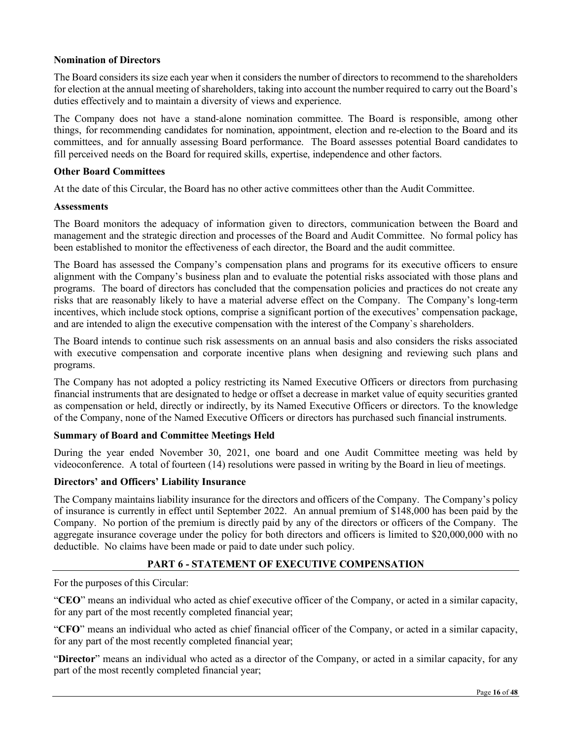## **Nomination of Directors**

The Board considers its size each year when it considers the number of directors to recommend to the shareholders for election at the annual meeting of shareholders, taking into account the number required to carry out the Board's duties effectively and to maintain a diversity of views and experience.

The Company does not have a stand-alone nomination committee. The Board is responsible, among other things, for recommending candidates for nomination, appointment, election and re-election to the Board and its committees, and for annually assessing Board performance. The Board assesses potential Board candidates to fill perceived needs on the Board for required skills, expertise, independence and other factors.

#### **Other Board Committees**

At the date of this Circular, the Board has no other active committees other than the Audit Committee.

#### **Assessments**

The Board monitors the adequacy of information given to directors, communication between the Board and management and the strategic direction and processes of the Board and Audit Committee. No formal policy has been established to monitor the effectiveness of each director, the Board and the audit committee.

The Board has assessed the Company's compensation plans and programs for its executive officers to ensure alignment with the Company's business plan and to evaluate the potential risks associated with those plans and programs. The board of directors has concluded that the compensation policies and practices do not create any risks that are reasonably likely to have a material adverse effect on the Company. The Company's long-term incentives, which include stock options, comprise a significant portion of the executives' compensation package, and are intended to align the executive compensation with the interest of the Company`s shareholders.

The Board intends to continue such risk assessments on an annual basis and also considers the risks associated with executive compensation and corporate incentive plans when designing and reviewing such plans and programs.

The Company has not adopted a policy restricting its Named Executive Officers or directors from purchasing financial instruments that are designated to hedge or offset a decrease in market value of equity securities granted as compensation or held, directly or indirectly, by its Named Executive Officers or directors. To the knowledge of the Company, none of the Named Executive Officers or directors has purchased such financial instruments.

## **Summary of Board and Committee Meetings Held**

During the year ended November 30, 2021, one board and one Audit Committee meeting was held by videoconference. A total of fourteen (14) resolutions were passed in writing by the Board in lieu of meetings.

## **Directors' and Officers' Liability Insurance**

The Company maintains liability insurance for the directors and officers of the Company. The Company's policy of insurance is currently in effect until September 2022. An annual premium of \$148,000 has been paid by the Company. No portion of the premium is directly paid by any of the directors or officers of the Company. The aggregate insurance coverage under the policy for both directors and officers is limited to \$20,000,000 with no deductible. No claims have been made or paid to date under such policy.

## **PART 6 - STATEMENT OF EXECUTIVE COMPENSATION**

For the purposes of this Circular:

"**CEO**" means an individual who acted as chief executive officer of the Company, or acted in a similar capacity, for any part of the most recently completed financial year;

"**CFO**" means an individual who acted as chief financial officer of the Company, or acted in a similar capacity, for any part of the most recently completed financial year;

"**Director**" means an individual who acted as a director of the Company, or acted in a similar capacity, for any part of the most recently completed financial year;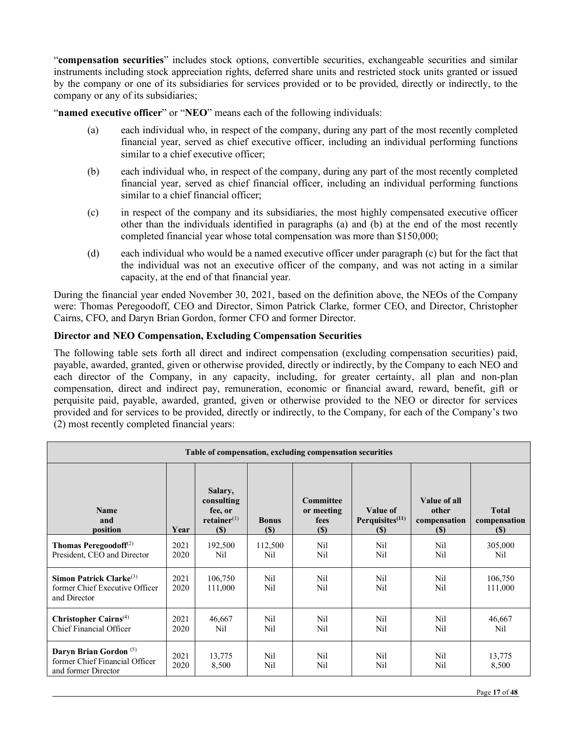"**compensation securities**" includes stock options, convertible securities, exchangeable securities and similar instruments including stock appreciation rights, deferred share units and restricted stock units granted or issued by the company or one of its subsidiaries for services provided or to be provided, directly or indirectly, to the company or any of its subsidiaries;

"**named executive officer**" or "**NEO**" means each of the following individuals:

- (a) each individual who, in respect of the company, during any part of the most recently completed financial year, served as chief executive officer, including an individual performing functions similar to a chief executive officer;
- (b) each individual who, in respect of the company, during any part of the most recently completed financial year, served as chief financial officer, including an individual performing functions similar to a chief financial officer;
- (c) in respect of the company and its subsidiaries, the most highly compensated executive officer other than the individuals identified in paragraphs (a) and (b) at the end of the most recently completed financial year whose total compensation was more than \$150,000;
- (d) each individual who would be a named executive officer under paragraph (c) but for the fact that the individual was not an executive officer of the company, and was not acting in a similar capacity, at the end of that financial year.

During the financial year ended November 30, 2021, based on the definition above, the NEOs of the Company were: Thomas Peregoodoff, CEO and Director, Simon Patrick Clarke, former CEO, and Director, Christopher Cairns, CFO, and Daryn Brian Gordon, former CFO and former Director.

# **Director and NEO Compensation, Excluding Compensation Securities**

The following table sets forth all direct and indirect compensation (excluding compensation securities) paid, payable, awarded, granted, given or otherwise provided, directly or indirectly, by the Company to each NEO and each director of the Company, in any capacity, including, for greater certainty, all plan and non-plan compensation, direct and indirect pay, remuneration, economic or financial award, reward, benefit, gift or perquisite paid, payable, awarded, granted, given or otherwise provided to the NEO or director for services provided and for services to be provided, directly or indirectly, to the Company, for each of the Company's two (2) most recently completed financial years:

| Table of compensation, excluding compensation securities                                   |              |                                                                |                                            |                                           |                                               |                                              |                                     |
|--------------------------------------------------------------------------------------------|--------------|----------------------------------------------------------------|--------------------------------------------|-------------------------------------------|-----------------------------------------------|----------------------------------------------|-------------------------------------|
| <b>Name</b><br>and<br>position                                                             | Year         | Salary,<br>consulting<br>fee, or<br>$retainer^{(1)}$<br>$(\$)$ | <b>Bonus</b><br>$\left( \mathbb{S}\right)$ | Committee<br>or meeting<br>fees<br>$(\$)$ | Value of<br>Perquisites $(11)$<br><b>(\$)</b> | Value of all<br>other<br>compensation<br>(S) | <b>Total</b><br>compensation<br>(S) |
| Thomas Peregoodoff $(2)$<br>President, CEO and Director                                    | 2021<br>2020 | 192,500<br>N <sub>il</sub>                                     | 112,500<br>Nil                             | Nil<br>Nil                                | Ni1<br>N <sub>il</sub>                        | Nil.<br>N <sub>il</sub>                      | 305,000<br>Nil                      |
| Simon Patrick Clarke $(3)$<br>former Chief Executive Officer<br>and Director               | 2021<br>2020 | 106,750<br>111,000                                             | Nil<br>N <sub>il</sub>                     | Nil<br>Nil                                | Nil<br>Ni1                                    | Nil<br>Nil.                                  | 106,750<br>111,000                  |
| Christopher Cairns <sup>(4)</sup><br>Chief Financial Officer                               | 2021<br>2020 | 46,667<br>N <sub>il</sub>                                      | Nil<br>N <sub>il</sub>                     | Nil<br>Nil                                | N <sub>i</sub> l<br>Nil                       | Nil<br>Nil                                   | 46,667<br>Nil                       |
| Daryn Brian Gordon <sup>(5)</sup><br>former Chief Financial Officer<br>and former Director | 2021<br>2020 | 13,775<br>8,500                                                | Nil<br>N <sub>il</sub>                     | Nil<br>Nil                                | N <sub>i</sub><br>Nil                         | Nil.<br>Nil                                  | 13,775<br>8,500                     |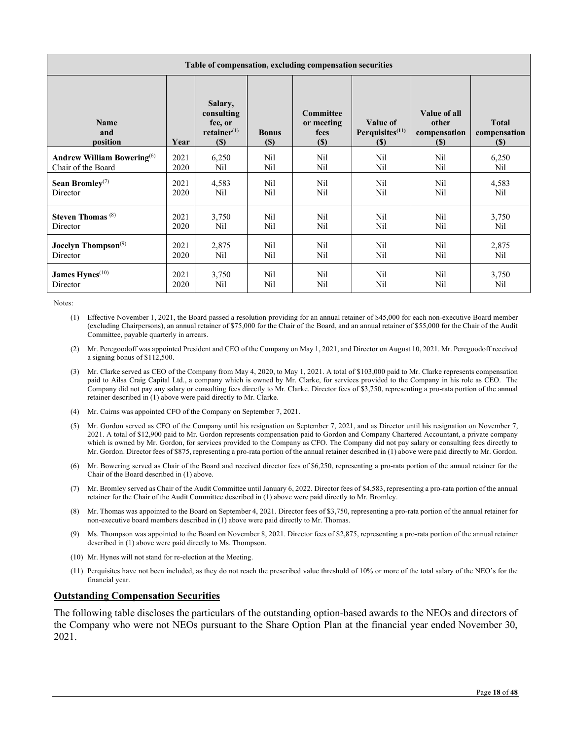| Table of compensation, excluding compensation securities |      |                                                             |                        |                                           |                                          |                                              |                                                            |
|----------------------------------------------------------|------|-------------------------------------------------------------|------------------------|-------------------------------------------|------------------------------------------|----------------------------------------------|------------------------------------------------------------|
| Name<br>and<br>position                                  | Year | Salary,<br>consulting<br>fee, or<br>$retainer^{(1)}$<br>(S) | <b>Bonus</b><br>$(\$)$ | Committee<br>or meeting<br>fees<br>$(\$)$ | Value of<br>Perquisites $(11)$<br>$(\$)$ | Value of all<br>other<br>compensation<br>(S) | <b>Total</b><br>compensation<br>$\left( \mathbb{S}\right)$ |
| <b>Andrew William Bowering</b> <sup>(6)</sup>            | 2021 | 6,250                                                       | Nil                    | Nil                                       | Nil                                      | Nil                                          | 6,250                                                      |
| Chair of the Board                                       | 2020 | Nil                                                         | Nil                    | Nil                                       | N <sub>i</sub> l                         | N <sub>il</sub>                              | N <sub>il</sub>                                            |
| Sean Bromley <sup>(7)</sup>                              | 2021 | 4,583                                                       | Nil                    | Nil                                       | N <sub>i</sub> l                         | N <sub>il</sub>                              | 4,583                                                      |
| Director                                                 | 2020 | N <sub>il</sub>                                             | N <sub>i</sub> l       | Nil                                       | N <sub>i</sub> l                         | N <sub>il</sub>                              | N <sub>il</sub>                                            |
| Steven Thomas <sup>(8)</sup>                             | 2021 | 3,750                                                       | Nil                    | Nil                                       | N <sub>il</sub>                          | Nil.                                         | 3,750                                                      |
| Director                                                 | 2020 | Nil                                                         | Nil                    | Nil                                       | Nil                                      | Nil                                          | Nil                                                        |
| Jocelyn Thompson $(9)$                                   | 2021 | 2,875                                                       | Nil                    | Nil                                       | N <sub>il</sub>                          | N <sub>il</sub>                              | 2,875                                                      |
| Director                                                 | 2020 | Nil                                                         | Nil                    | Nil                                       | N <sub>i</sub> l                         | Nil                                          | Nil                                                        |
| James Hynes <sup>(10)</sup>                              | 2021 | 3,750                                                       | Nil                    | Nil                                       | Nil                                      | N <sub>il</sub>                              | 3,750                                                      |
| Director                                                 | 2020 | Nil                                                         | Nil                    | Nil                                       | Nil                                      | Nil                                          | Nil                                                        |

Notes:

- (1) Effective November 1, 2021, the Board passed a resolution providing for an annual retainer of \$45,000 for each non-executive Board member (excluding Chairpersons), an annual retainer of \$75,000 for the Chair of the Board, and an annual retainer of \$55,000 for the Chair of the Audit Committee, payable quarterly in arrears.
- (2) Mr. Peregoodoff was appointed President and CEO of the Company on May 1, 2021, and Director on August 10, 2021. Mr. Peregoodoff received a signing bonus of \$112,500.
- (3) Mr. Clarke served as CEO of the Company from May 4, 2020, to May 1, 2021. A total of \$103,000 paid to Mr. Clarke represents compensation paid to Ailsa Craig Capital Ltd., a company which is owned by Mr. Clarke, for services provided to the Company in his role as CEO. The Company did not pay any salary or consulting fees directly to Mr. Clarke. Director fees of \$3,750, representing a pro-rata portion of the annual retainer described in (1) above were paid directly to Mr. Clarke.
- (4) Mr. Cairns was appointed CFO of the Company on September 7, 2021.
- (5) Mr. Gordon served as CFO of the Company until his resignation on September 7, 2021, and as Director until his resignation on November 7, 2021. A total of \$12,900 paid to Mr. Gordon represents compensation paid to Gordon and Company Chartered Accountant, a private company which is owned by Mr. Gordon, for services provided to the Company as CFO. The Company did not pay salary or consulting fees directly to Mr. Gordon. Director fees of \$875, representing a pro-rata portion of the annual retainer described in (1) above were paid directly to Mr. Gordon.
- (6) Mr. Bowering served as Chair of the Board and received director fees of \$6,250, representing a pro-rata portion of the annual retainer for the Chair of the Board described in (1) above.
- (7) Mr. Bromley served as Chair of the Audit Committee until January 6, 2022. Director fees of \$4,583, representing a pro-rata portion of the annual retainer for the Chair of the Audit Committee described in (1) above were paid directly to Mr. Bromley.
- (8) Mr. Thomas was appointed to the Board on September 4, 2021. Director fees of \$3,750, representing a pro-rata portion of the annual retainer for non-executive board members described in (1) above were paid directly to Mr. Thomas.
- (9) Ms. Thompson was appointed to the Board on November 8, 2021. Director fees of \$2,875, representing a pro-rata portion of the annual retainer described in (1) above were paid directly to Ms. Thompson.
- (10) Mr. Hynes will not stand for re-election at the Meeting.
- (11) Perquisites have not been included, as they do not reach the prescribed value threshold of 10% or more of the total salary of the NEO's for the financial year.

## **Outstanding Compensation Securities**

The following table discloses the particulars of the outstanding option-based awards to the NEOs and directors of the Company who were not NEOs pursuant to the Share Option Plan at the financial year ended November 30, 2021.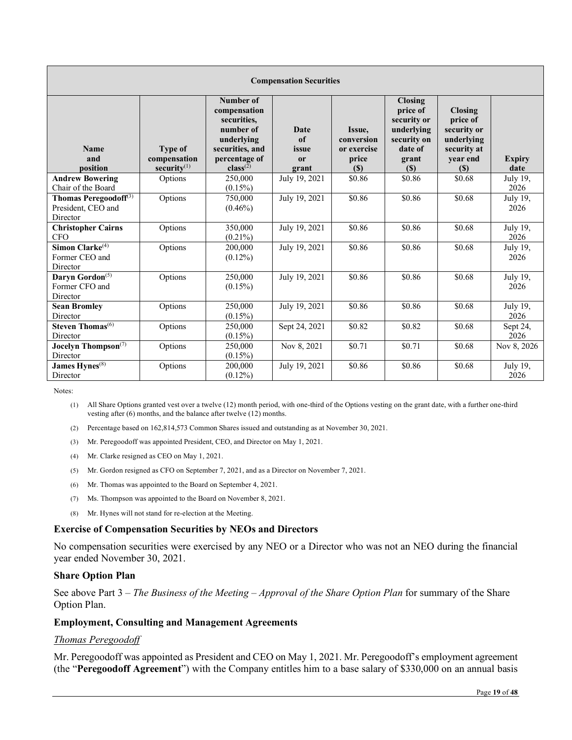| <b>Compensation Securities</b>                                      |                                                  |                                                                                                                          |                                           |                                                     |                                                                                                   |                                                                                           |                       |
|---------------------------------------------------------------------|--------------------------------------------------|--------------------------------------------------------------------------------------------------------------------------|-------------------------------------------|-----------------------------------------------------|---------------------------------------------------------------------------------------------------|-------------------------------------------------------------------------------------------|-----------------------|
| <b>Name</b><br>and<br>position                                      | <b>Type of</b><br>compensation<br>security $(1)$ | Number of<br>compensation<br>securities.<br>number of<br>underlying<br>securities, and<br>percentage of<br>$class^{(2)}$ | <b>Date</b><br>of<br>issue<br>or<br>grant | Issue,<br>conversion<br>or exercise<br>price<br>(S) | <b>Closing</b><br>price of<br>security or<br>underlying<br>security on<br>date of<br>grant<br>(S) | <b>Closing</b><br>price of<br>security or<br>underlying<br>security at<br>year end<br>(S) | <b>Expiry</b><br>date |
| <b>Andrew Bowering</b><br>Chair of the Board                        | Options                                          | 250,000<br>$(0.15\%)$                                                                                                    | July 19, 2021                             | \$0.86                                              | \$0.86                                                                                            | \$0.68                                                                                    | July 19,<br>2026      |
| Thomas Peregoodoff <sup>(3)</sup><br>President, CEO and<br>Director | Options                                          | 750,000<br>$(0.46\%)$                                                                                                    | July 19, 2021                             | \$0.86                                              | \$0.86                                                                                            | \$0.68                                                                                    | July 19,<br>2026      |
| <b>Christopher Cairns</b><br><b>CFO</b>                             | Options                                          | 350,000<br>$(0.21\%)$                                                                                                    | July 19, 2021                             | \$0.86                                              | \$0.86                                                                                            | \$0.68                                                                                    | July 19,<br>2026      |
| Simon Clarke $(4)$<br>Former CEO and<br>Director                    | Options                                          | 200,000<br>$(0.12\%)$                                                                                                    | July 19, 2021                             | \$0.86                                              | \$0.86                                                                                            | \$0.68                                                                                    | July 19,<br>2026      |
| Daryn Gordon <sup>(5)</sup><br>Former CFO and<br>Director           | Options                                          | 250,000<br>$(0.15\%)$                                                                                                    | July 19, 2021                             | \$0.86                                              | \$0.86                                                                                            | \$0.68                                                                                    | July 19,<br>2026      |
| <b>Sean Bromley</b><br>Director                                     | Options                                          | 250,000<br>$(0.15\%)$                                                                                                    | July 19, 2021                             | \$0.86                                              | \$0.86                                                                                            | \$0.68                                                                                    | July 19,<br>2026      |
| Steven Thomas <sup>(6)</sup><br>Director                            | Options                                          | 250,000<br>$(0.15\%)$                                                                                                    | Sept 24, 2021                             | \$0.82                                              | \$0.82                                                                                            | \$0.68                                                                                    | Sept 24,<br>2026      |
| Jocelyn Thompson <sup>(7)</sup><br>Director                         | Options                                          | 250,000<br>$(0.15\%)$                                                                                                    | Nov 8, 2021                               | \$0.71                                              | \$0.71                                                                                            | \$0.68                                                                                    | Nov 8, 2026           |
| James Hynes <sup>(8)</sup><br>Director                              | Options                                          | 200,000<br>$(0.12\%)$                                                                                                    | July 19, 2021                             | \$0.86                                              | \$0.86                                                                                            | \$0.68                                                                                    | July 19,<br>2026      |

Notes:

(1) All Share Options granted vest over a twelve (12) month period, with one-third of the Options vesting on the grant date, with a further one-third vesting after (6) months, and the balance after twelve (12) months.

(2) Percentage based on 162,814,573 Common Shares issued and outstanding as at November 30, 2021.

- (3) Mr. Peregoodoff was appointed President, CEO, and Director on May 1, 2021.
- (4) Mr. Clarke resigned as CEO on May 1, 2021.
- (5) Mr. Gordon resigned as CFO on September 7, 2021, and as a Director on November 7, 2021.
- (6) Mr. Thomas was appointed to the Board on September 4, 2021.
- (7) Ms. Thompson was appointed to the Board on November 8, 2021.
- (8) Mr. Hynes will not stand for re-election at the Meeting.

#### **Exercise of Compensation Securities by NEOs and Directors**

No compensation securities were exercised by any NEO or a Director who was not an NEO during the financial year ended November 30, 2021.

## **Share Option Plan**

See above Part 3 – *The Business of the Meeting – Approval of the Share Option Plan* for summary of the Share Option Plan.

#### **Employment, Consulting and Management Agreements**

## *Thomas Peregoodoff*

Mr. Peregoodoff was appointed as President and CEO on May 1, 2021. Mr. Peregoodoff's employment agreement (the "**Peregoodoff Agreement**") with the Company entitles him to a base salary of \$330,000 on an annual basis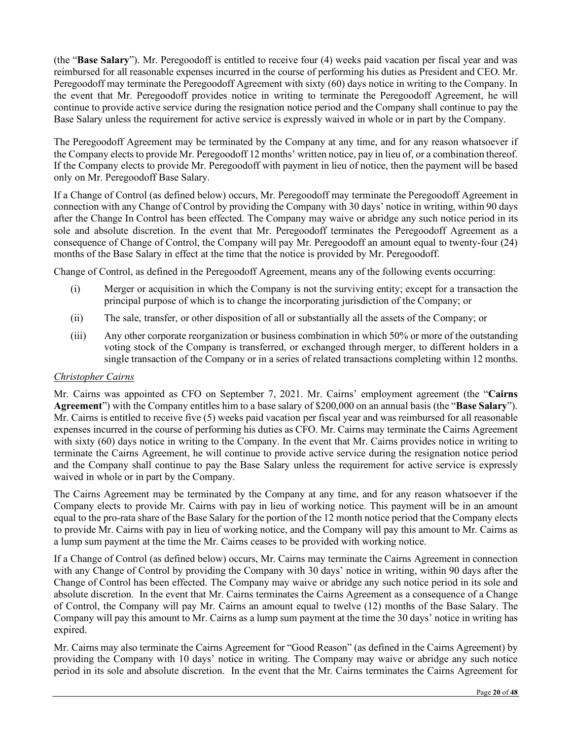(the "**Base Salary**"). Mr. Peregoodoff is entitled to receive four (4) weeks paid vacation per fiscal year and was reimbursed for all reasonable expenses incurred in the course of performing his duties as President and CEO. Mr. Peregoodoff may terminate the Peregoodoff Agreement with sixty (60) days notice in writing to the Company. In the event that Mr. Peregoodoff provides notice in writing to terminate the Peregoodoff Agreement, he will continue to provide active service during the resignation notice period and the Company shall continue to pay the Base Salary unless the requirement for active service is expressly waived in whole or in part by the Company.

The Peregoodoff Agreement may be terminated by the Company at any time, and for any reason whatsoever if the Company elects to provide Mr. Peregoodoff 12 months' written notice, pay in lieu of, or a combination thereof. If the Company elects to provide Mr. Peregoodoff with payment in lieu of notice, then the payment will be based only on Mr. Peregoodoff Base Salary.

If a Change of Control (as defined below) occurs, Mr. Peregoodoff may terminate the Peregoodoff Agreement in connection with any Change of Control by providing the Company with 30 days' notice in writing, within 90 days after the Change In Control has been effected. The Company may waive or abridge any such notice period in its sole and absolute discretion. In the event that Mr. Peregoodoff terminates the Peregoodoff Agreement as a consequence of Change of Control, the Company will pay Mr. Peregoodoff an amount equal to twenty-four (24) months of the Base Salary in effect at the time that the notice is provided by Mr. Peregoodoff.

Change of Control, as defined in the Peregoodoff Agreement, means any of the following events occurring:

- (i) Merger or acquisition in which the Company is not the surviving entity; except for a transaction the principal purpose of which is to change the incorporating jurisdiction of the Company; or
- (ii) The sale, transfer, or other disposition of all or substantially all the assets of the Company; or
- (iii) Any other corporate reorganization or business combination in which 50% or more of the outstanding voting stock of the Company is transferred, or exchanged through merger, to different holders in a single transaction of the Company or in a series of related transactions completing within 12 months.

## *Christopher Cairns*

Mr. Cairns was appointed as CFO on September 7, 2021. Mr. Cairns' employment agreement (the "**Cairns Agreement**") with the Company entitles him to a base salary of \$200,000 on an annual basis (the "**Base Salary**"). Mr. Cairns is entitled to receive five (5) weeks paid vacation per fiscal year and was reimbursed for all reasonable expenses incurred in the course of performing his duties as CFO. Mr. Cairns may terminate the Cairns Agreement with sixty (60) days notice in writing to the Company. In the event that Mr. Cairns provides notice in writing to terminate the Cairns Agreement, he will continue to provide active service during the resignation notice period and the Company shall continue to pay the Base Salary unless the requirement for active service is expressly waived in whole or in part by the Company.

The Cairns Agreement may be terminated by the Company at any time, and for any reason whatsoever if the Company elects to provide Mr. Cairns with pay in lieu of working notice. This payment will be in an amount equal to the pro-rata share of the Base Salary for the portion of the 12 month notice period that the Company elects to provide Mr. Cairns with pay in lieu of working notice, and the Company will pay this amount to Mr. Cairns as a lump sum payment at the time the Mr. Cairns ceases to be provided with working notice.

If a Change of Control (as defined below) occurs, Mr. Cairns may terminate the Cairns Agreement in connection with any Change of Control by providing the Company with 30 days' notice in writing, within 90 days after the Change of Control has been effected. The Company may waive or abridge any such notice period in its sole and absolute discretion. In the event that Mr. Cairns terminates the Cairns Agreement as a consequence of a Change of Control, the Company will pay Mr. Cairns an amount equal to twelve (12) months of the Base Salary. The Company will pay this amount to Mr. Cairns as a lump sum payment at the time the 30 days' notice in writing has expired.

Mr. Cairns may also terminate the Cairns Agreement for "Good Reason" (as defined in the Cairns Agreement) by providing the Company with 10 days' notice in writing. The Company may waive or abridge any such notice period in its sole and absolute discretion. In the event that the Mr. Cairns terminates the Cairns Agreement for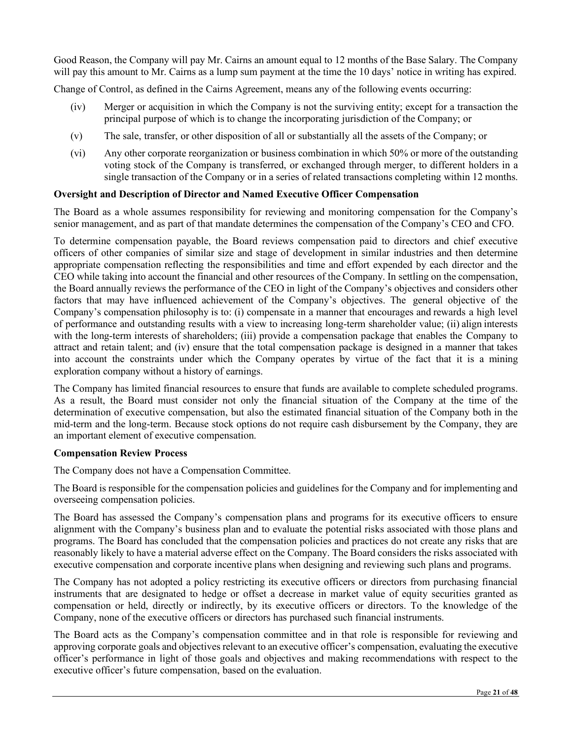Good Reason, the Company will pay Mr. Cairns an amount equal to 12 months of the Base Salary. The Company will pay this amount to Mr. Cairns as a lump sum payment at the time the 10 days' notice in writing has expired.

Change of Control, as defined in the Cairns Agreement, means any of the following events occurring:

- (iv) Merger or acquisition in which the Company is not the surviving entity; except for a transaction the principal purpose of which is to change the incorporating jurisdiction of the Company; or
- (v) The sale, transfer, or other disposition of all or substantially all the assets of the Company; or
- (vi) Any other corporate reorganization or business combination in which 50% or more of the outstanding voting stock of the Company is transferred, or exchanged through merger, to different holders in a single transaction of the Company or in a series of related transactions completing within 12 months.

#### **Oversight and Description of Director and Named Executive Officer Compensation**

The Board as a whole assumes responsibility for reviewing and monitoring compensation for the Company's senior management, and as part of that mandate determines the compensation of the Company's CEO and CFO.

To determine compensation payable, the Board reviews compensation paid to directors and chief executive officers of other companies of similar size and stage of development in similar industries and then determine appropriate compensation reflecting the responsibilities and time and effort expended by each director and the CEO while taking into account the financial and other resources of the Company. In settling on the compensation, the Board annually reviews the performance of the CEO in light of the Company's objectives and considers other factors that may have influenced achievement of the Company's objectives. The general objective of the Company's compensation philosophy is to: (i) compensate in a manner that encourages and rewards a high level of performance and outstanding results with a view to increasing long-term shareholder value; (ii) align interests with the long-term interests of shareholders; (iii) provide a compensation package that enables the Company to attract and retain talent; and (iv) ensure that the total compensation package is designed in a manner that takes into account the constraints under which the Company operates by virtue of the fact that it is a mining exploration company without a history of earnings.

The Company has limited financial resources to ensure that funds are available to complete scheduled programs. As a result, the Board must consider not only the financial situation of the Company at the time of the determination of executive compensation, but also the estimated financial situation of the Company both in the mid-term and the long-term. Because stock options do not require cash disbursement by the Company, they are an important element of executive compensation.

#### **Compensation Review Process**

The Company does not have a Compensation Committee.

The Board is responsible for the compensation policies and guidelines for the Company and for implementing and overseeing compensation policies.

The Board has assessed the Company's compensation plans and programs for its executive officers to ensure alignment with the Company's business plan and to evaluate the potential risks associated with those plans and programs. The Board has concluded that the compensation policies and practices do not create any risks that are reasonably likely to have a material adverse effect on the Company. The Board considers the risks associated with executive compensation and corporate incentive plans when designing and reviewing such plans and programs.

The Company has not adopted a policy restricting its executive officers or directors from purchasing financial instruments that are designated to hedge or offset a decrease in market value of equity securities granted as compensation or held, directly or indirectly, by its executive officers or directors. To the knowledge of the Company, none of the executive officers or directors has purchased such financial instruments.

The Board acts as the Company's compensation committee and in that role is responsible for reviewing and approving corporate goals and objectives relevant to an executive officer's compensation, evaluating the executive officer's performance in light of those goals and objectives and making recommendations with respect to the executive officer's future compensation, based on the evaluation.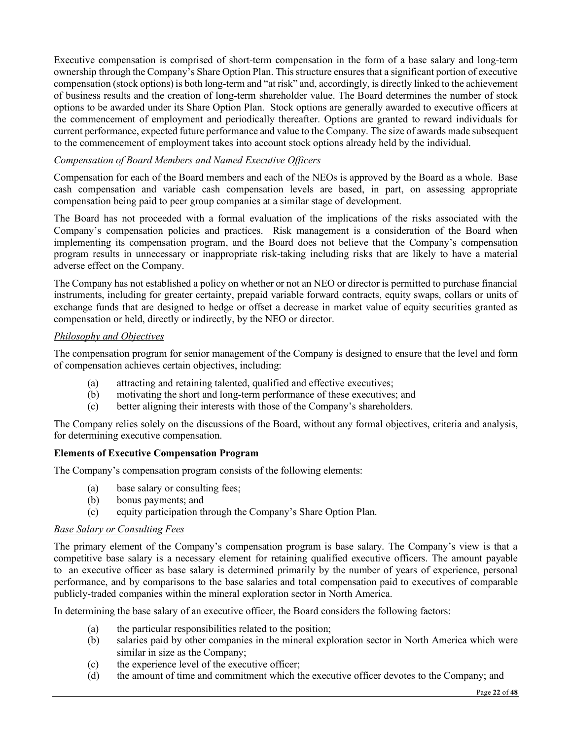Executive compensation is comprised of short-term compensation in the form of a base salary and long-term ownership through the Company's Share Option Plan. This structure ensures that a significant portion of executive compensation (stock options) is both long-term and "at risk" and, accordingly, is directly linked to the achievement of business results and the creation of long-term shareholder value. The Board determines the number of stock options to be awarded under its Share Option Plan. Stock options are generally awarded to executive officers at the commencement of employment and periodically thereafter. Options are granted to reward individuals for current performance, expected future performance and value to the Company. The size of awards made subsequent to the commencement of employment takes into account stock options already held by the individual.

# *Compensation of Board Members and Named Executive Officers*

Compensation for each of the Board members and each of the NEOs is approved by the Board as a whole. Base cash compensation and variable cash compensation levels are based, in part, on assessing appropriate compensation being paid to peer group companies at a similar stage of development.

The Board has not proceeded with a formal evaluation of the implications of the risks associated with the Company's compensation policies and practices. Risk management is a consideration of the Board when implementing its compensation program, and the Board does not believe that the Company's compensation program results in unnecessary or inappropriate risk-taking including risks that are likely to have a material adverse effect on the Company.

The Company has not established a policy on whether or not an NEO or director is permitted to purchase financial instruments, including for greater certainty, prepaid variable forward contracts, equity swaps, collars or units of exchange funds that are designed to hedge or offset a decrease in market value of equity securities granted as compensation or held, directly or indirectly, by the NEO or director.

# *Philosophy and Objectives*

The compensation program for senior management of the Company is designed to ensure that the level and form of compensation achieves certain objectives, including:

- (a) attracting and retaining talented, qualified and effective executives;
- (b) motivating the short and long-term performance of these executives; and
- (c) better aligning their interests with those of the Company's shareholders.

The Company relies solely on the discussions of the Board, without any formal objectives, criteria and analysis, for determining executive compensation.

## **Elements of Executive Compensation Program**

The Company's compensation program consists of the following elements:

- (a) base salary or consulting fees;
- (b) bonus payments; and
- (c) equity participation through the Company's Share Option Plan.

## *Base Salary or Consulting Fees*

The primary element of the Company's compensation program is base salary. The Company's view is that a competitive base salary is a necessary element for retaining qualified executive officers. The amount payable to an executive officer as base salary is determined primarily by the number of years of experience, personal performance, and by comparisons to the base salaries and total compensation paid to executives of comparable publicly-traded companies within the mineral exploration sector in North America.

In determining the base salary of an executive officer, the Board considers the following factors:

- (a) the particular responsibilities related to the position;
- (b) salaries paid by other companies in the mineral exploration sector in North America which were similar in size as the Company;
- (c) the experience level of the executive officer;
- (d) the amount of time and commitment which the executive officer devotes to the Company; and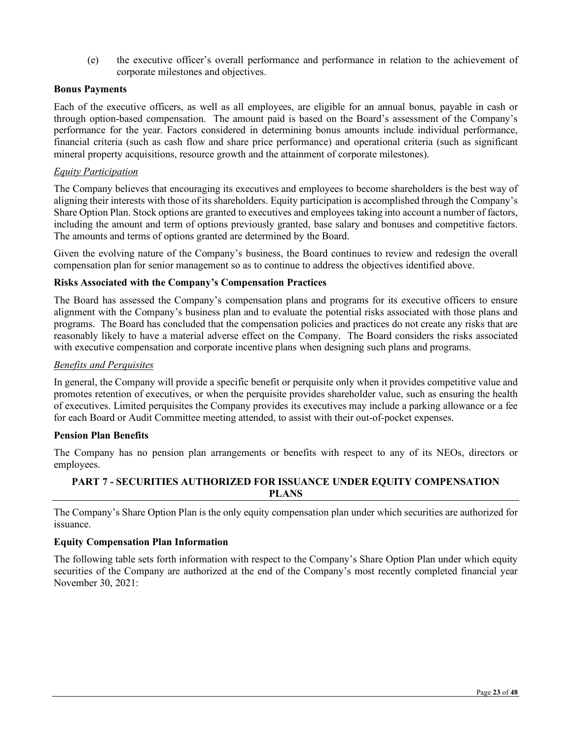(e) the executive officer's overall performance and performance in relation to the achievement of corporate milestones and objectives.

#### **Bonus Payments**

Each of the executive officers, as well as all employees, are eligible for an annual bonus, payable in cash or through option-based compensation. The amount paid is based on the Board's assessment of the Company's performance for the year. Factors considered in determining bonus amounts include individual performance, financial criteria (such as cash flow and share price performance) and operational criteria (such as significant mineral property acquisitions, resource growth and the attainment of corporate milestones).

#### *Equity Participation*

The Company believes that encouraging its executives and employees to become shareholders is the best way of aligning their interests with those of its shareholders. Equity participation is accomplished through the Company's Share Option Plan. Stock options are granted to executives and employees taking into account a number of factors, including the amount and term of options previously granted, base salary and bonuses and competitive factors. The amounts and terms of options granted are determined by the Board.

Given the evolving nature of the Company's business, the Board continues to review and redesign the overall compensation plan for senior management so as to continue to address the objectives identified above.

## **Risks Associated with the Company's Compensation Practices**

The Board has assessed the Company's compensation plans and programs for its executive officers to ensure alignment with the Company's business plan and to evaluate the potential risks associated with those plans and programs. The Board has concluded that the compensation policies and practices do not create any risks that are reasonably likely to have a material adverse effect on the Company. The Board considers the risks associated with executive compensation and corporate incentive plans when designing such plans and programs.

#### *Benefits and Perquisites*

In general, the Company will provide a specific benefit or perquisite only when it provides competitive value and promotes retention of executives, or when the perquisite provides shareholder value, such as ensuring the health of executives. Limited perquisites the Company provides its executives may include a parking allowance or a fee for each Board or Audit Committee meeting attended, to assist with their out-of-pocket expenses.

#### **Pension Plan Benefits**

The Company has no pension plan arrangements or benefits with respect to any of its NEOs, directors or employees.

## **PART 7 - SECURITIES AUTHORIZED FOR ISSUANCE UNDER EQUITY COMPENSATION PLANS**

The Company's Share Option Plan is the only equity compensation plan under which securities are authorized for issuance.

#### **Equity Compensation Plan Information**

The following table sets forth information with respect to the Company's Share Option Plan under which equity securities of the Company are authorized at the end of the Company's most recently completed financial year November 30, 2021: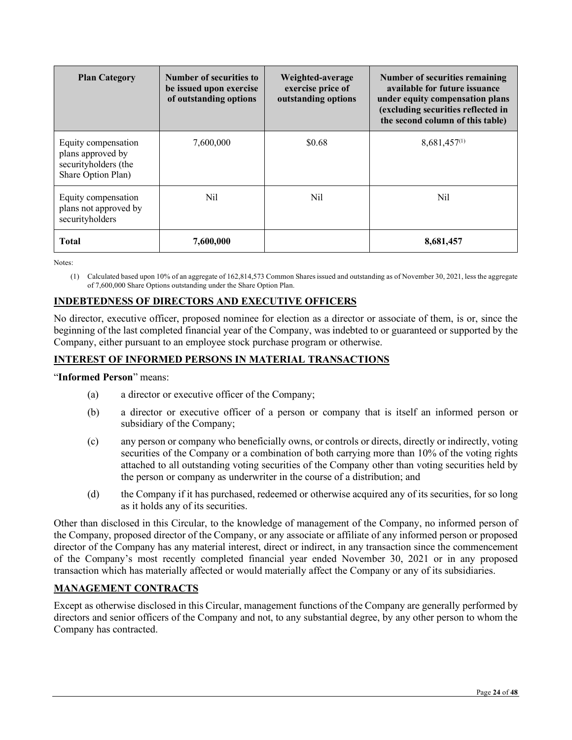| <b>Plan Category</b>                                                                   | <b>Number of securities to</b><br>be issued upon exercise<br>of outstanding options | Weighted-average<br>exercise price of<br>outstanding options | <b>Number of securities remaining</b><br>available for future issuance<br>under equity compensation plans<br>(excluding securities reflected in<br>the second column of this table) |
|----------------------------------------------------------------------------------------|-------------------------------------------------------------------------------------|--------------------------------------------------------------|-------------------------------------------------------------------------------------------------------------------------------------------------------------------------------------|
| Equity compensation<br>plans approved by<br>securityholders (the<br>Share Option Plan) | 7,600,000                                                                           | \$0.68                                                       | $8,681,457^{(1)}$                                                                                                                                                                   |
| Equity compensation<br>plans not approved by<br>securityholders                        | Nil                                                                                 | Nil                                                          | Nil                                                                                                                                                                                 |
| <b>Total</b>                                                                           | 7,600,000                                                                           |                                                              | 8,681,457                                                                                                                                                                           |

Notes:

(1) Calculated based upon 10% of an aggregate of 162,814,573 Common Shares issued and outstanding as of November 30, 2021, less the aggregate of 7,600,000 Share Options outstanding under the Share Option Plan.

# **INDEBTEDNESS OF DIRECTORS AND EXECUTIVE OFFICERS**

No director, executive officer, proposed nominee for election as a director or associate of them, is or, since the beginning of the last completed financial year of the Company, was indebted to or guaranteed or supported by the Company, either pursuant to an employee stock purchase program or otherwise.

# **INTEREST OF INFORMED PERSONS IN MATERIAL TRANSACTIONS**

"**Informed Person**" means:

- (a) a director or executive officer of the Company;
- (b) a director or executive officer of a person or company that is itself an informed person or subsidiary of the Company;
- (c) any person or company who beneficially owns, or controls or directs, directly or indirectly, voting securities of the Company or a combination of both carrying more than 10% of the voting rights attached to all outstanding voting securities of the Company other than voting securities held by the person or company as underwriter in the course of a distribution; and
- (d) the Company if it has purchased, redeemed or otherwise acquired any of its securities, for so long as it holds any of its securities.

Other than disclosed in this Circular, to the knowledge of management of the Company, no informed person of the Company, proposed director of the Company, or any associate or affiliate of any informed person or proposed director of the Company has any material interest, direct or indirect, in any transaction since the commencement of the Company's most recently completed financial year ended November 30, 2021 or in any proposed transaction which has materially affected or would materially affect the Company or any of its subsidiaries.

# **MANAGEMENT CONTRACTS**

Except as otherwise disclosed in this Circular, management functions of the Company are generally performed by directors and senior officers of the Company and not, to any substantial degree, by any other person to whom the Company has contracted.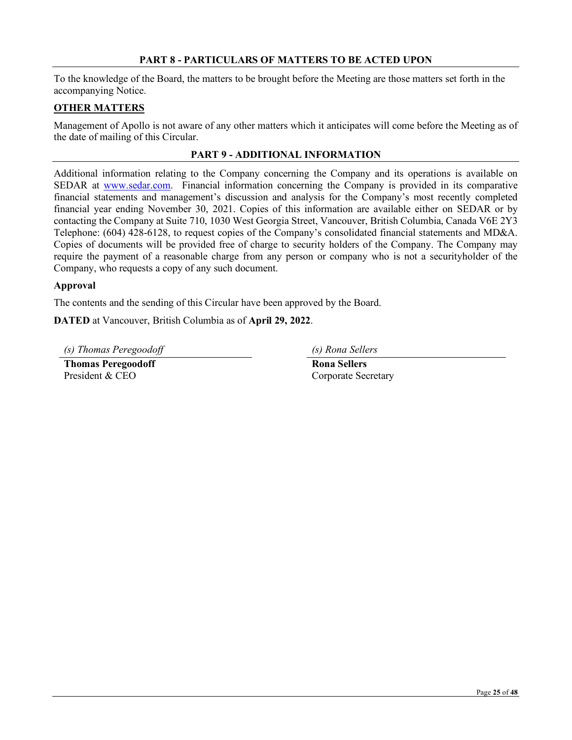#### **PART 8 - PARTICULARS OF MATTERS TO BE ACTED UPON**

To the knowledge of the Board, the matters to be brought before the Meeting are those matters set forth in the accompanying Notice.

## **OTHER MATTERS**

Management of Apollo is not aware of any other matters which it anticipates will come before the Meeting as of the date of mailing of this Circular.

## **PART 9 - ADDITIONAL INFORMATION**

Additional information relating to the Company concerning the Company and its operations is available on SEDAR at [www.sedar.com.](http://www.sedar.com/) Financial information concerning the Company is provided in its comparative financial statements and management's discussion and analysis for the Company's most recently completed financial year ending November 30, 2021. Copies of this information are available either on SEDAR or by contacting the Company at Suite 710, 1030 West Georgia Street, Vancouver, British Columbia, Canada V6E 2Y3 Telephone: (604) 428-6128, to request copies of the Company's consolidated financial statements and MD&A. Copies of documents will be provided free of charge to security holders of the Company. The Company may require the payment of a reasonable charge from any person or company who is not a securityholder of the Company, who requests a copy of any such document.

## **Approval**

The contents and the sending of this Circular have been approved by the Board.

**DATED** at Vancouver, British Columbia as of **April 29, 2022**.

*(s) Thomas Peregoodoff (s) Rona Sellers*

**Thomas Peregoodoff Rona Sellers** President & CEO Corporate Secretary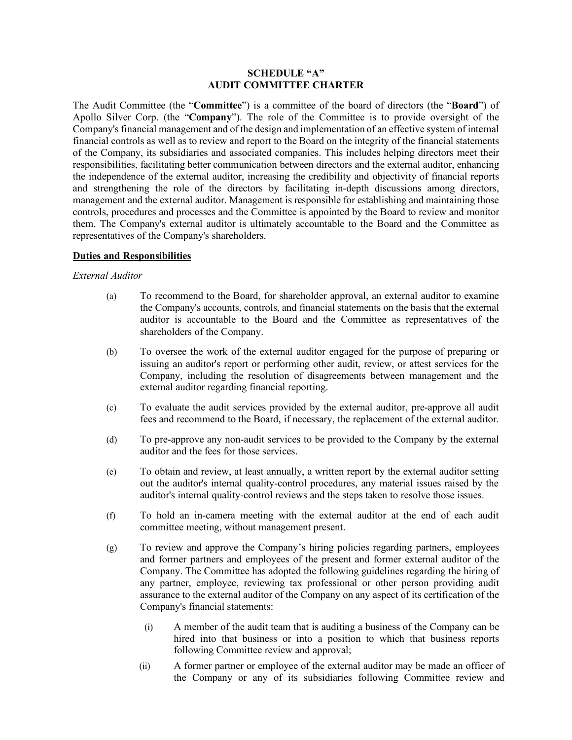#### **SCHEDULE "A" AUDIT COMMITTEE CHARTER**

The Audit Committee (the "**Committee**") is a committee of the board of directors (the "**Board**") of Apollo Silver Corp. (the "**Company**"). The role of the Committee is to provide oversight of the Company's financial management and of the design and implementation of an effective system of internal financial controls as well as to review and report to the Board on the integrity of the financial statements of the Company, its subsidiaries and associated companies. This includes helping directors meet their responsibilities, facilitating better communication between directors and the external auditor, enhancing the independence of the external auditor, increasing the credibility and objectivity of financial reports and strengthening the role of the directors by facilitating in-depth discussions among directors, management and the external auditor. Management is responsible for establishing and maintaining those controls, procedures and processes and the Committee is appointed by the Board to review and monitor them. The Company's external auditor is ultimately accountable to the Board and the Committee as representatives of the Company's shareholders.

## **Duties and Responsibilities**

#### *External Auditor*

- (a) To recommend to the Board, for shareholder approval, an external auditor to examine the Company's accounts, controls, and financial statements on the basis that the external auditor is accountable to the Board and the Committee as representatives of the shareholders of the Company.
- (b) To oversee the work of the external auditor engaged for the purpose of preparing or issuing an auditor's report or performing other audit, review, or attest services for the Company, including the resolution of disagreements between management and the external auditor regarding financial reporting.
- (c) To evaluate the audit services provided by the external auditor, pre-approve all audit fees and recommend to the Board, if necessary, the replacement of the external auditor.
- (d) To pre-approve any non-audit services to be provided to the Company by the external auditor and the fees for those services.
- (e) To obtain and review, at least annually, a written report by the external auditor setting out the auditor's internal quality-control procedures, any material issues raised by the auditor's internal quality-control reviews and the steps taken to resolve those issues.
- (f) To hold an in-camera meeting with the external auditor at the end of each audit committee meeting, without management present.
- (g) To review and approve the Company's hiring policies regarding partners, employees and former partners and employees of the present and former external auditor of the Company. The Committee has adopted the following guidelines regarding the hiring of any partner, employee, reviewing tax professional or other person providing audit assurance to the external auditor of the Company on any aspect of its certification of the Company's financial statements:
	- (i) A member of the audit team that is auditing a business of the Company can be hired into that business or into a position to which that business reports following Committee review and approval;
	- (ii) A former partner or employee of the external auditor may be made an officer of the Company or any of its subsidiaries following Committee review and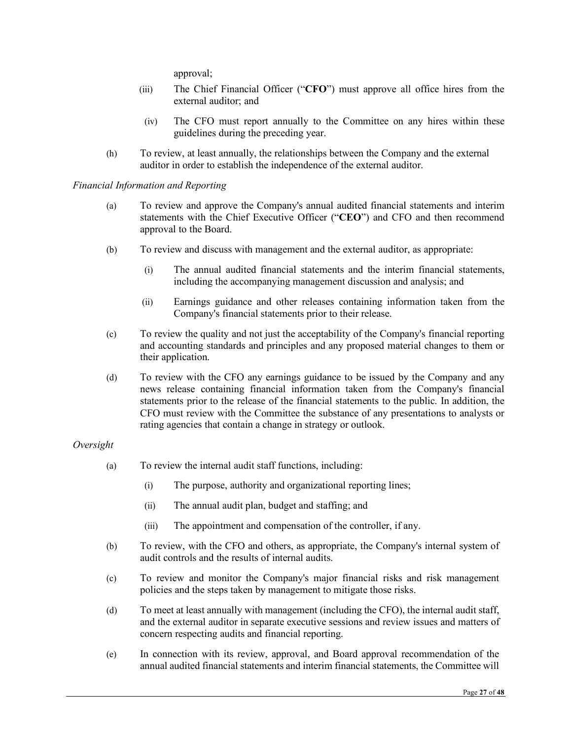approval;

- (iii) The Chief Financial Officer ("**CFO**") must approve all office hires from the external auditor; and
- (iv) The CFO must report annually to the Committee on any hires within these guidelines during the preceding year.
- (h) To review, at least annually, the relationships between the Company and the external auditor in order to establish the independence of the external auditor.

*Financial Information and Reporting*

- (a) To review and approve the Company's annual audited financial statements and interim statements with the Chief Executive Officer ("**CEO**") and CFO and then recommend approval to the Board.
- (b) To review and discuss with management and the external auditor, as appropriate:
	- (i) The annual audited financial statements and the interim financial statements, including the accompanying management discussion and analysis; and
	- (ii) Earnings guidance and other releases containing information taken from the Company's financial statements prior to their release.
- (c) To review the quality and not just the acceptability of the Company's financial reporting and accounting standards and principles and any proposed material changes to them or their application.
- (d) To review with the CFO any earnings guidance to be issued by the Company and any news release containing financial information taken from the Company's financial statements prior to the release of the financial statements to the public. In addition, the CFO must review with the Committee the substance of any presentations to analysts or rating agencies that contain a change in strategy or outlook.

#### *Oversight*

- (a) To review the internal audit staff functions, including:
	- (i) The purpose, authority and organizational reporting lines;
	- (ii) The annual audit plan, budget and staffing; and
	- (iii) The appointment and compensation of the controller, if any.
- (b) To review, with the CFO and others, as appropriate, the Company's internal system of audit controls and the results of internal audits.
- (c) To review and monitor the Company's major financial risks and risk management policies and the steps taken by management to mitigate those risks.
- (d) To meet at least annually with management (including the CFO), the internal audit staff, and the external auditor in separate executive sessions and review issues and matters of concern respecting audits and financial reporting.
- (e) In connection with its review, approval, and Board approval recommendation of the annual audited financial statements and interim financial statements, the Committee will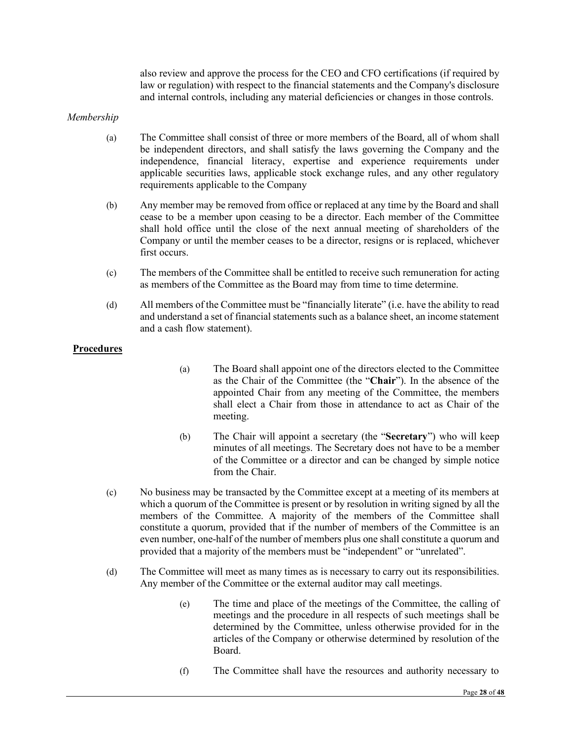also review and approve the process for the CEO and CFO certifications (if required by law or regulation) with respect to the financial statements and the Company's disclosure and internal controls, including any material deficiencies or changes in those controls.

#### *Membership*

- (a) The Committee shall consist of three or more members of the Board, all of whom shall be independent directors, and shall satisfy the laws governing the Company and the independence, financial literacy, expertise and experience requirements under applicable securities laws, applicable stock exchange rules, and any other regulatory requirements applicable to the Company
- (b) Any member may be removed from office or replaced at any time by the Board and shall cease to be a member upon ceasing to be a director. Each member of the Committee shall hold office until the close of the next annual meeting of shareholders of the Company or until the member ceases to be a director, resigns or is replaced, whichever first occurs.
- (c) The members of the Committee shall be entitled to receive such remuneration for acting as members of the Committee as the Board may from time to time determine.
- (d) All members of the Committee must be "financially literate" (i.e. have the ability to read and understand a set of financial statements such as a balance sheet, an income statement and a cash flow statement).

#### **Procedures**

- (a) The Board shall appoint one of the directors elected to the Committee as the Chair of the Committee (the "**Chair**"). In the absence of the appointed Chair from any meeting of the Committee, the members shall elect a Chair from those in attendance to act as Chair of the meeting.
- (b) The Chair will appoint a secretary (the "**Secretary**") who will keep minutes of all meetings. The Secretary does not have to be a member of the Committee or a director and can be changed by simple notice from the Chair.
- (c) No business may be transacted by the Committee except at a meeting of its members at which a quorum of the Committee is present or by resolution in writing signed by all the members of the Committee. A majority of the members of the Committee shall constitute a quorum, provided that if the number of members of the Committee is an even number, one-half of the number of members plus one shall constitute a quorum and provided that a majority of the members must be "independent" or "unrelated".
- (d) The Committee will meet as many times as is necessary to carry out its responsibilities. Any member of the Committee or the external auditor may call meetings.
	- (e) The time and place of the meetings of the Committee, the calling of meetings and the procedure in all respects of such meetings shall be determined by the Committee, unless otherwise provided for in the articles of the Company or otherwise determined by resolution of the Board.
	- (f) The Committee shall have the resources and authority necessary to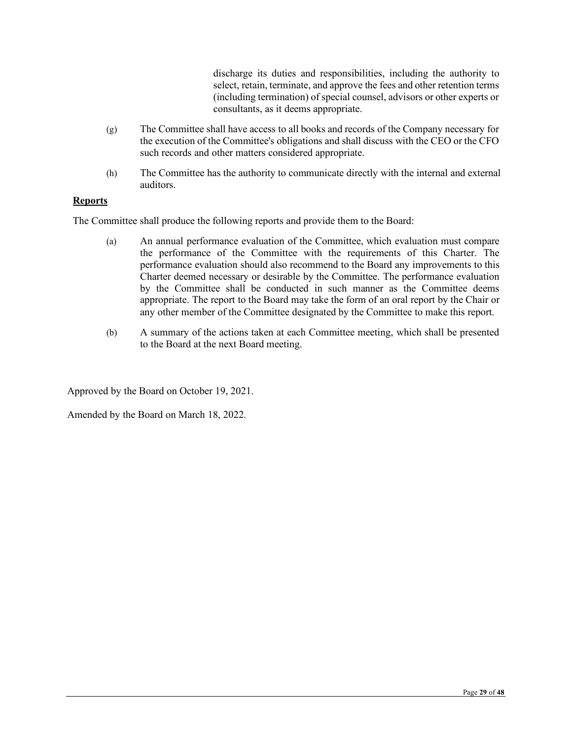discharge its duties and responsibilities, including the authority to select, retain, terminate, and approve the fees and other retention terms (including termination) of special counsel, advisors or other experts or consultants, as it deems appropriate.

- (g) The Committee shall have access to all books and records of the Company necessary for the execution of the Committee's obligations and shall discuss with the CEO or the CFO such records and other matters considered appropriate.
- (h) The Committee has the authority to communicate directly with the internal and external auditors.

# **Reports**

The Committee shall produce the following reports and provide them to the Board:

- (a) An annual performance evaluation of the Committee, which evaluation must compare the performance of the Committee with the requirements of this Charter. The performance evaluation should also recommend to the Board any improvements to this Charter deemed necessary or desirable by the Committee. The performance evaluation by the Committee shall be conducted in such manner as the Committee deems appropriate. The report to the Board may take the form of an oral report by the Chair or any other member of the Committee designated by the Committee to make this report.
- (b) A summary of the actions taken at each Committee meeting, which shall be presented to the Board at the next Board meeting.

Approved by the Board on October 19, 2021.

Amended by the Board on March 18, 2022.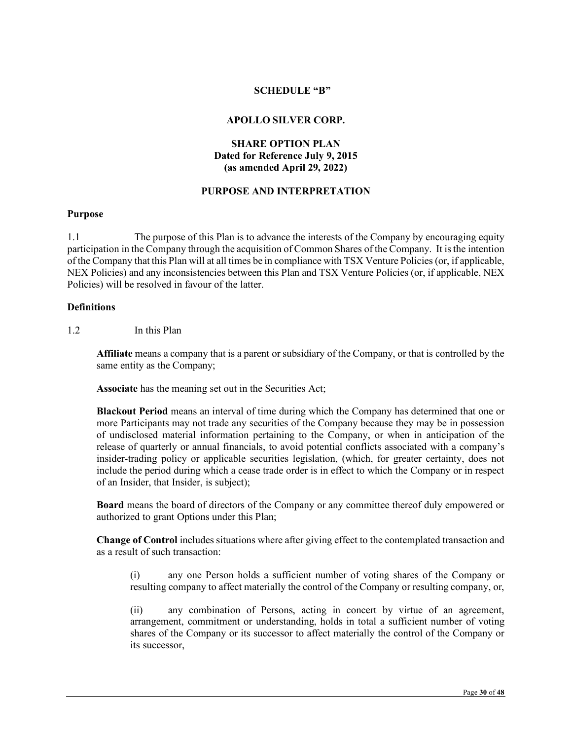#### **SCHEDULE "B"**

#### **APOLLO SILVER CORP.**

# **SHARE OPTION PLAN Dated for Reference July 9, 2015 (as amended April 29, 2022)**

## **PURPOSE AND INTERPRETATION**

#### **Purpose**

1.1 The purpose of this Plan is to advance the interests of the Company by encouraging equity participation in the Company through the acquisition of Common Shares of the Company. It is the intention of the Company that this Plan will at all times be in compliance with TSX Venture Policies (or, if applicable, NEX Policies) and any inconsistencies between this Plan and TSX Venture Policies (or, if applicable, NEX Policies) will be resolved in favour of the latter.

#### **Definitions**

1.2 In this Plan

**Affiliate** means a company that is a parent or subsidiary of the Company, or that is controlled by the same entity as the Company;

**Associate** has the meaning set out in the Securities Act;

**Blackout Period** means an interval of time during which the Company has determined that one or more Participants may not trade any securities of the Company because they may be in possession of undisclosed material information pertaining to the Company, or when in anticipation of the release of quarterly or annual financials, to avoid potential conflicts associated with a company's insider-trading policy or applicable securities legislation, (which, for greater certainty, does not include the period during which a cease trade order is in effect to which the Company or in respect of an Insider, that Insider, is subject);

**Board** means the board of directors of the Company or any committee thereof duly empowered or authorized to grant Options under this Plan;

**Change of Control** includes situations where after giving effect to the contemplated transaction and as a result of such transaction:

(i) any one Person holds a sufficient number of voting shares of the Company or resulting company to affect materially the control of the Company or resulting company, or,

(ii) any combination of Persons, acting in concert by virtue of an agreement, arrangement, commitment or understanding, holds in total a sufficient number of voting shares of the Company or its successor to affect materially the control of the Company or its successor,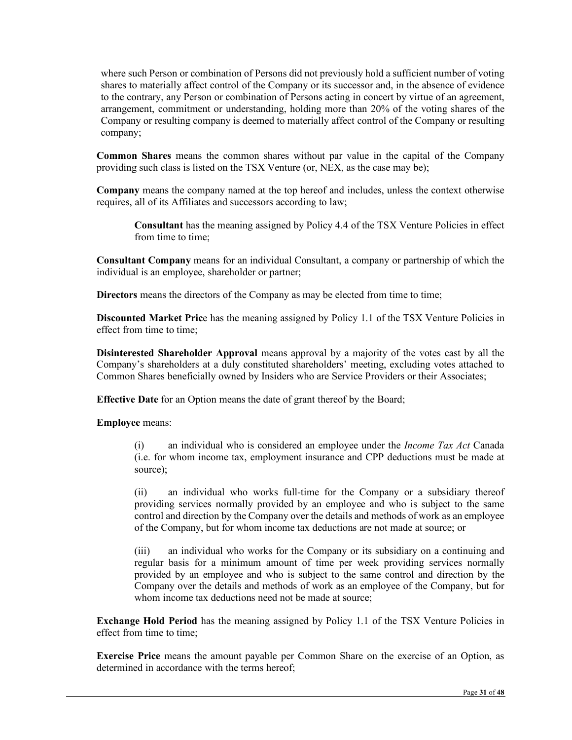where such Person or combination of Persons did not previously hold a sufficient number of voting shares to materially affect control of the Company or its successor and, in the absence of evidence to the contrary, any Person or combination of Persons acting in concert by virtue of an agreement, arrangement, commitment or understanding, holding more than 20% of the voting shares of the Company or resulting company is deemed to materially affect control of the Company or resulting company;

**Common Shares** means the common shares without par value in the capital of the Company providing such class is listed on the TSX Venture (or, NEX, as the case may be);

**Company** means the company named at the top hereof and includes, unless the context otherwise requires, all of its Affiliates and successors according to law;

**Consultant** has the meaning assigned by Policy 4.4 of the TSX Venture Policies in effect from time to time:

**Consultant Company** means for an individual Consultant, a company or partnership of which the individual is an employee, shareholder or partner;

**Directors** means the directors of the Company as may be elected from time to time;

**Discounted Market Pric**e has the meaning assigned by Policy 1.1 of the TSX Venture Policies in effect from time to time;

**Disinterested Shareholder Approval** means approval by a majority of the votes cast by all the Company's shareholders at a duly constituted shareholders' meeting, excluding votes attached to Common Shares beneficially owned by Insiders who are Service Providers or their Associates;

**Effective Date** for an Option means the date of grant thereof by the Board;

**Employee** means:

(i) an individual who is considered an employee under the *Income Tax Act* Canada (i.e. for whom income tax, employment insurance and CPP deductions must be made at source);

(ii) an individual who works full-time for the Company or a subsidiary thereof providing services normally provided by an employee and who is subject to the same control and direction by the Company over the details and methods of work as an employee of the Company, but for whom income tax deductions are not made at source; or

(iii) an individual who works for the Company or its subsidiary on a continuing and regular basis for a minimum amount of time per week providing services normally provided by an employee and who is subject to the same control and direction by the Company over the details and methods of work as an employee of the Company, but for whom income tax deductions need not be made at source:

**Exchange Hold Period** has the meaning assigned by Policy 1.1 of the TSX Venture Policies in effect from time to time;

**Exercise Price** means the amount payable per Common Share on the exercise of an Option, as determined in accordance with the terms hereof;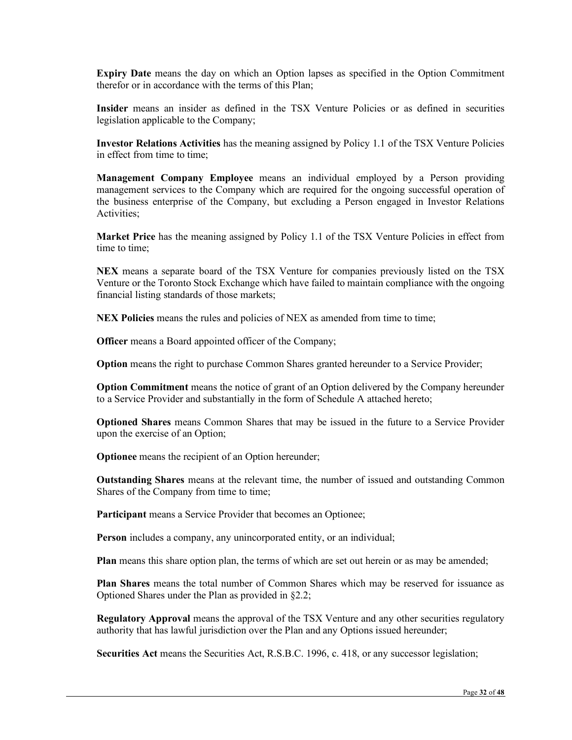**Expiry Date** means the day on which an Option lapses as specified in the Option Commitment therefor or in accordance with the terms of this Plan;

**Insider** means an insider as defined in the TSX Venture Policies or as defined in securities legislation applicable to the Company;

**Investor Relations Activities** has the meaning assigned by Policy 1.1 of the TSX Venture Policies in effect from time to time;

**Management Company Employee** means an individual employed by a Person providing management services to the Company which are required for the ongoing successful operation of the business enterprise of the Company, but excluding a Person engaged in Investor Relations Activities;

**Market Price** has the meaning assigned by Policy 1.1 of the TSX Venture Policies in effect from time to time;

**NEX** means a separate board of the TSX Venture for companies previously listed on the TSX Venture or the Toronto Stock Exchange which have failed to maintain compliance with the ongoing financial listing standards of those markets;

**NEX Policies** means the rules and policies of NEX as amended from time to time;

**Officer** means a Board appointed officer of the Company;

**Option** means the right to purchase Common Shares granted hereunder to a Service Provider;

**Option Commitment** means the notice of grant of an Option delivered by the Company hereunder to a Service Provider and substantially in the form of Schedule A attached hereto;

**Optioned Shares** means Common Shares that may be issued in the future to a Service Provider upon the exercise of an Option;

**Optionee** means the recipient of an Option hereunder;

**Outstanding Shares** means at the relevant time, the number of issued and outstanding Common Shares of the Company from time to time;

**Participant** means a Service Provider that becomes an Optionee;

**Person** includes a company, any unincorporated entity, or an individual;

**Plan** means this share option plan, the terms of which are set out herein or as may be amended;

**Plan Shares** means the total number of Common Shares which may be reserved for issuance as Optioned Shares under the Plan as provided in §2.2;

**Regulatory Approval** means the approval of the TSX Venture and any other securities regulatory authority that has lawful jurisdiction over the Plan and any Options issued hereunder;

**Securities Act** means the Securities Act, R.S.B.C. 1996, c. 418, or any successor legislation;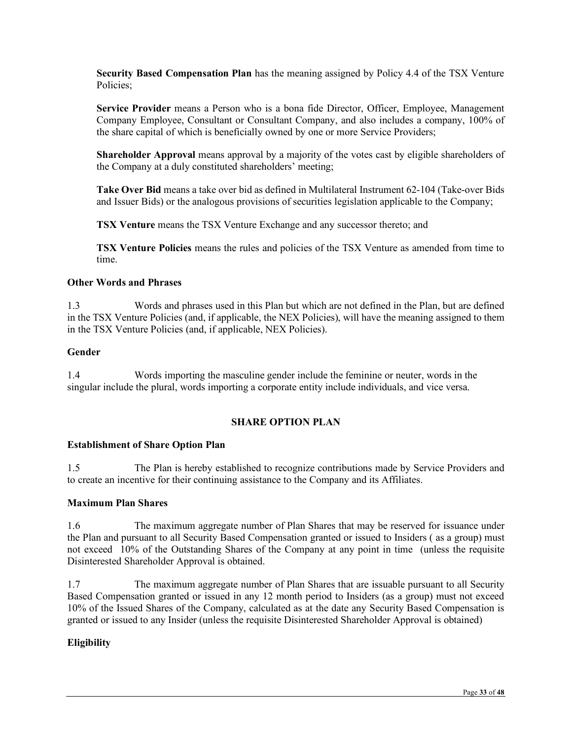**Security Based Compensation Plan** has the meaning assigned by Policy 4.4 of the TSX Venture Policies;

**Service Provider** means a Person who is a bona fide Director, Officer, Employee, Management Company Employee, Consultant or Consultant Company, and also includes a company, 100% of the share capital of which is beneficially owned by one or more Service Providers;

**Shareholder Approval** means approval by a majority of the votes cast by eligible shareholders of the Company at a duly constituted shareholders' meeting;

**Take Over Bid** means a take over bid as defined in Multilateral Instrument 62-104 (Take-over Bids and Issuer Bids) or the analogous provisions of securities legislation applicable to the Company;

**TSX Venture** means the TSX Venture Exchange and any successor thereto; and

**TSX Venture Policies** means the rules and policies of the TSX Venture as amended from time to time.

#### **Other Words and Phrases**

1.3 Words and phrases used in this Plan but which are not defined in the Plan, but are defined in the TSX Venture Policies (and, if applicable, the NEX Policies), will have the meaning assigned to them in the TSX Venture Policies (and, if applicable, NEX Policies).

#### **Gender**

1.4 Words importing the masculine gender include the feminine or neuter, words in the singular include the plural, words importing a corporate entity include individuals, and vice versa.

## **SHARE OPTION PLAN**

## **Establishment of Share Option Plan**

1.5 The Plan is hereby established to recognize contributions made by Service Providers and to create an incentive for their continuing assistance to the Company and its Affiliates.

#### **Maximum Plan Shares**

1.6 The maximum aggregate number of Plan Shares that may be reserved for issuance under the Plan and pursuant to all Security Based Compensation granted or issued to Insiders ( as a group) must not exceed 10% of the Outstanding Shares of the Company at any point in time (unless the requisite Disinterested Shareholder Approval is obtained.

1.7 The maximum aggregate number of Plan Shares that are issuable pursuant to all Security Based Compensation granted or issued in any 12 month period to Insiders (as a group) must not exceed 10% of the Issued Shares of the Company, calculated as at the date any Security Based Compensation is granted or issued to any Insider (unless the requisite Disinterested Shareholder Approval is obtained)

## **Eligibility**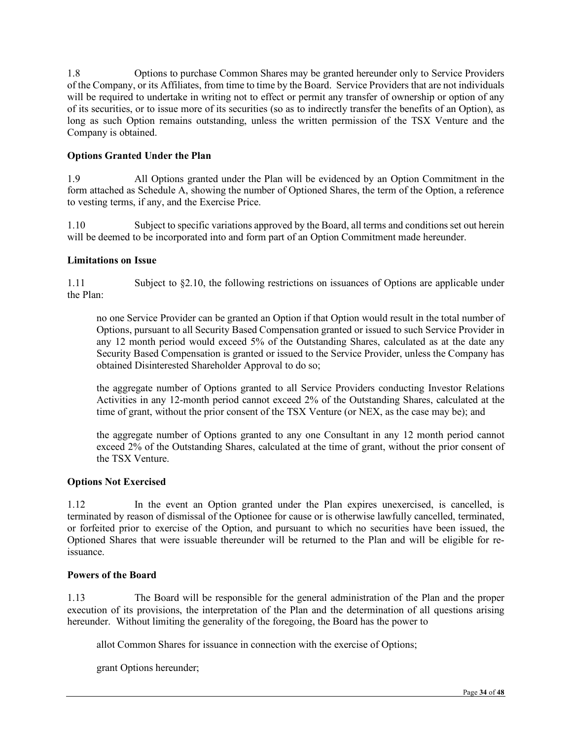1.8 Options to purchase Common Shares may be granted hereunder only to Service Providers of the Company, or its Affiliates, from time to time by the Board. Service Providers that are not individuals will be required to undertake in writing not to effect or permit any transfer of ownership or option of any of its securities, or to issue more of its securities (so as to indirectly transfer the benefits of an Option), as long as such Option remains outstanding, unless the written permission of the TSX Venture and the Company is obtained.

# **Options Granted Under the Plan**

1.9 All Options granted under the Plan will be evidenced by an Option Commitment in the form attached as Schedule A, showing the number of Optioned Shares, the term of the Option, a reference to vesting terms, if any, and the Exercise Price.

1.10 Subject to specific variations approved by the Board, all terms and conditions set out herein will be deemed to be incorporated into and form part of an Option Commitment made hereunder.

## **Limitations on Issue**

1.11 Subject to §2.10, the following restrictions on issuances of Options are applicable under the Plan:

no one Service Provider can be granted an Option if that Option would result in the total number of Options, pursuant to all Security Based Compensation granted or issued to such Service Provider in any 12 month period would exceed 5% of the Outstanding Shares, calculated as at the date any Security Based Compensation is granted or issued to the Service Provider, unless the Company has obtained Disinterested Shareholder Approval to do so;

the aggregate number of Options granted to all Service Providers conducting Investor Relations Activities in any 12-month period cannot exceed 2% of the Outstanding Shares, calculated at the time of grant, without the prior consent of the TSX Venture (or NEX, as the case may be); and

the aggregate number of Options granted to any one Consultant in any 12 month period cannot exceed 2% of the Outstanding Shares, calculated at the time of grant, without the prior consent of the TSX Venture.

## **Options Not Exercised**

1.12 In the event an Option granted under the Plan expires unexercised, is cancelled, is terminated by reason of dismissal of the Optionee for cause or is otherwise lawfully cancelled, terminated, or forfeited prior to exercise of the Option, and pursuant to which no securities have been issued, the Optioned Shares that were issuable thereunder will be returned to the Plan and will be eligible for reissuance.

## **Powers of the Board**

1.13 The Board will be responsible for the general administration of the Plan and the proper execution of its provisions, the interpretation of the Plan and the determination of all questions arising hereunder. Without limiting the generality of the foregoing, the Board has the power to

allot Common Shares for issuance in connection with the exercise of Options;

grant Options hereunder;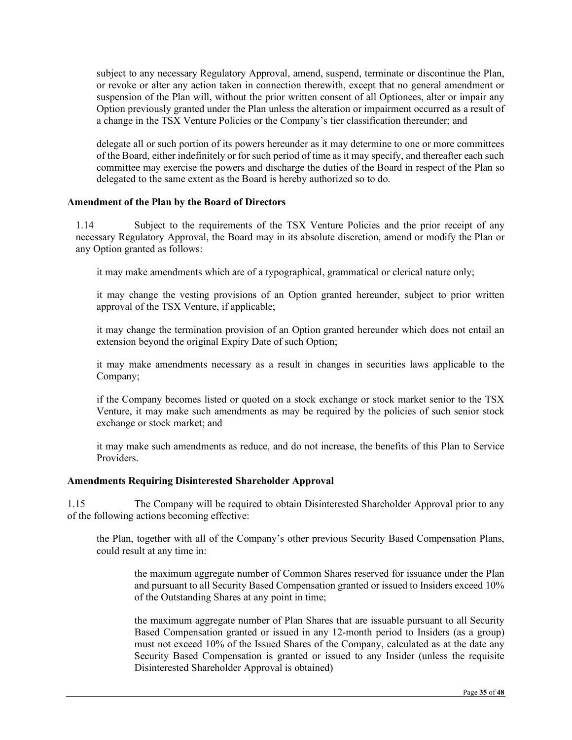subject to any necessary Regulatory Approval, amend, suspend, terminate or discontinue the Plan, or revoke or alter any action taken in connection therewith, except that no general amendment or suspension of the Plan will, without the prior written consent of all Optionees, alter or impair any Option previously granted under the Plan unless the alteration or impairment occurred as a result of a change in the TSX Venture Policies or the Company's tier classification thereunder; and

delegate all or such portion of its powers hereunder as it may determine to one or more committees of the Board, either indefinitely or for such period of time as it may specify, and thereafter each such committee may exercise the powers and discharge the duties of the Board in respect of the Plan so delegated to the same extent as the Board is hereby authorized so to do.

#### **Amendment of the Plan by the Board of Directors**

1.14 Subject to the requirements of the TSX Venture Policies and the prior receipt of any necessary Regulatory Approval, the Board may in its absolute discretion, amend or modify the Plan or any Option granted as follows:

it may make amendments which are of a typographical, grammatical or clerical nature only;

it may change the vesting provisions of an Option granted hereunder, subject to prior written approval of the TSX Venture, if applicable;

it may change the termination provision of an Option granted hereunder which does not entail an extension beyond the original Expiry Date of such Option;

it may make amendments necessary as a result in changes in securities laws applicable to the Company;

if the Company becomes listed or quoted on a stock exchange or stock market senior to the TSX Venture, it may make such amendments as may be required by the policies of such senior stock exchange or stock market; and

it may make such amendments as reduce, and do not increase, the benefits of this Plan to Service Providers.

#### **Amendments Requiring Disinterested Shareholder Approval**

1.15 The Company will be required to obtain Disinterested Shareholder Approval prior to any of the following actions becoming effective:

the Plan, together with all of the Company's other previous Security Based Compensation Plans, could result at any time in:

the maximum aggregate number of Common Shares reserved for issuance under the Plan and pursuant to all Security Based Compensation granted or issued to Insiders exceed 10% of the Outstanding Shares at any point in time;

the maximum aggregate number of Plan Shares that are issuable pursuant to all Security Based Compensation granted or issued in any 12-month period to Insiders (as a group) must not exceed 10% of the Issued Shares of the Company, calculated as at the date any Security Based Compensation is granted or issued to any Insider (unless the requisite Disinterested Shareholder Approval is obtained)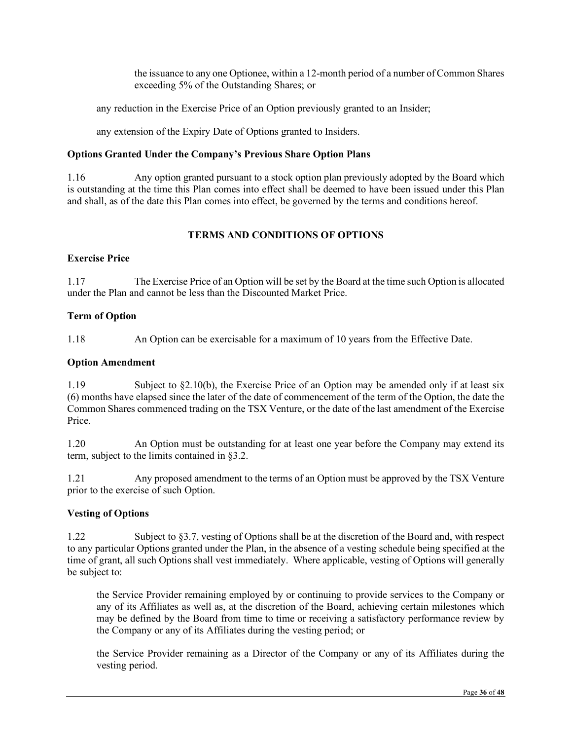the issuance to any one Optionee, within a 12-month period of a number of Common Shares exceeding 5% of the Outstanding Shares; or

any reduction in the Exercise Price of an Option previously granted to an Insider;

any extension of the Expiry Date of Options granted to Insiders.

# **Options Granted Under the Company's Previous Share Option Plans**

1.16 Any option granted pursuant to a stock option plan previously adopted by the Board which is outstanding at the time this Plan comes into effect shall be deemed to have been issued under this Plan and shall, as of the date this Plan comes into effect, be governed by the terms and conditions hereof.

# **TERMS AND CONDITIONS OF OPTIONS**

## **Exercise Price**

1.17 The Exercise Price of an Option will be set by the Board at the time such Option is allocated under the Plan and cannot be less than the Discounted Market Price.

# **Term of Option**

1.18 An Option can be exercisable for a maximum of 10 years from the Effective Date.

# **Option Amendment**

1.19 Subject to §2.10(b), the Exercise Price of an Option may be amended only if at least six (6) months have elapsed since the later of the date of commencement of the term of the Option, the date the Common Shares commenced trading on the TSX Venture, or the date of the last amendment of the Exercise Price.

1.20 An Option must be outstanding for at least one year before the Company may extend its term, subject to the limits contained in §3.2.

1.21 Any proposed amendment to the terms of an Option must be approved by the TSX Venture prior to the exercise of such Option.

# **Vesting of Options**

1.22 Subject to §3.7, vesting of Options shall be at the discretion of the Board and, with respect to any particular Options granted under the Plan, in the absence of a vesting schedule being specified at the time of grant, all such Options shall vest immediately. Where applicable, vesting of Options will generally be subject to:

the Service Provider remaining employed by or continuing to provide services to the Company or any of its Affiliates as well as, at the discretion of the Board, achieving certain milestones which may be defined by the Board from time to time or receiving a satisfactory performance review by the Company or any of its Affiliates during the vesting period; or

the Service Provider remaining as a Director of the Company or any of its Affiliates during the vesting period.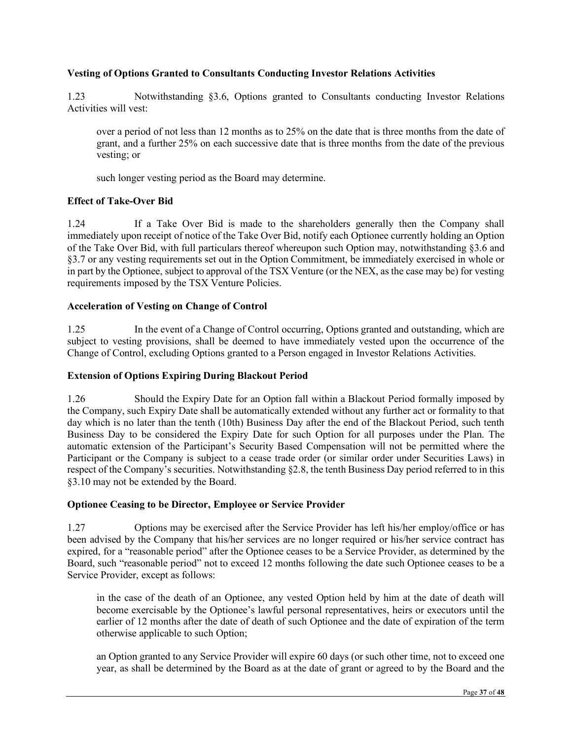## **Vesting of Options Granted to Consultants Conducting Investor Relations Activities**

1.23 Notwithstanding §3.6, Options granted to Consultants conducting Investor Relations Activities will vest:

over a period of not less than 12 months as to 25% on the date that is three months from the date of grant, and a further 25% on each successive date that is three months from the date of the previous vesting; or

such longer vesting period as the Board may determine.

# **Effect of Take-Over Bid**

1.24 If a Take Over Bid is made to the shareholders generally then the Company shall immediately upon receipt of notice of the Take Over Bid, notify each Optionee currently holding an Option of the Take Over Bid, with full particulars thereof whereupon such Option may, notwithstanding §3.6 and §3.7 or any vesting requirements set out in the Option Commitment, be immediately exercised in whole or in part by the Optionee, subject to approval of the TSX Venture (or the NEX, as the case may be) for vesting requirements imposed by the TSX Venture Policies.

# **Acceleration of Vesting on Change of Control**

1.25 In the event of a Change of Control occurring, Options granted and outstanding, which are subject to vesting provisions, shall be deemed to have immediately vested upon the occurrence of the Change of Control, excluding Options granted to a Person engaged in Investor Relations Activities.

## **Extension of Options Expiring During Blackout Period**

1.26 Should the Expiry Date for an Option fall within a Blackout Period formally imposed by the Company, such Expiry Date shall be automatically extended without any further act or formality to that day which is no later than the tenth (10th) Business Day after the end of the Blackout Period, such tenth Business Day to be considered the Expiry Date for such Option for all purposes under the Plan. The automatic extension of the Participant's Security Based Compensation will not be permitted where the Participant or the Company is subject to a cease trade order (or similar order under Securities Laws) in respect of the Company's securities. Notwithstanding §2.8, the tenth Business Day period referred to in this §3.10 may not be extended by the Board.

## **Optionee Ceasing to be Director, Employee or Service Provider**

1.27 Options may be exercised after the Service Provider has left his/her employ/office or has been advised by the Company that his/her services are no longer required or his/her service contract has expired, for a "reasonable period" after the Optionee ceases to be a Service Provider, as determined by the Board, such "reasonable period" not to exceed 12 months following the date such Optionee ceases to be a Service Provider, except as follows:

in the case of the death of an Optionee, any vested Option held by him at the date of death will become exercisable by the Optionee's lawful personal representatives, heirs or executors until the earlier of 12 months after the date of death of such Optionee and the date of expiration of the term otherwise applicable to such Option;

an Option granted to any Service Provider will expire 60 days (or such other time, not to exceed one year, as shall be determined by the Board as at the date of grant or agreed to by the Board and the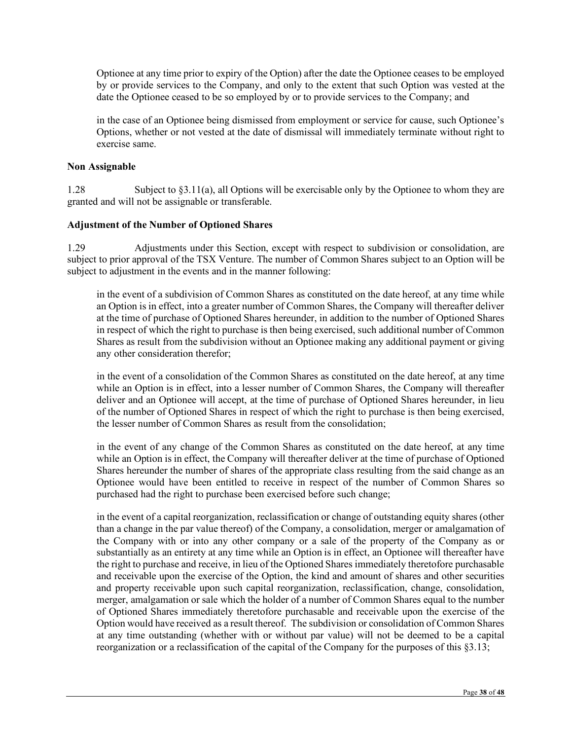Optionee at any time prior to expiry of the Option) after the date the Optionee ceases to be employed by or provide services to the Company, and only to the extent that such Option was vested at the date the Optionee ceased to be so employed by or to provide services to the Company; and

in the case of an Optionee being dismissed from employment or service for cause, such Optionee's Options, whether or not vested at the date of dismissal will immediately terminate without right to exercise same.

## **Non Assignable**

1.28 Subject to §3.11(a), all Options will be exercisable only by the Optionee to whom they are granted and will not be assignable or transferable.

# **Adjustment of the Number of Optioned Shares**

1.29 Adjustments under this Section, except with respect to subdivision or consolidation, are subject to prior approval of the TSX Venture. The number of Common Shares subject to an Option will be subject to adjustment in the events and in the manner following:

in the event of a subdivision of Common Shares as constituted on the date hereof, at any time while an Option is in effect, into a greater number of Common Shares, the Company will thereafter deliver at the time of purchase of Optioned Shares hereunder, in addition to the number of Optioned Shares in respect of which the right to purchase is then being exercised, such additional number of Common Shares as result from the subdivision without an Optionee making any additional payment or giving any other consideration therefor;

in the event of a consolidation of the Common Shares as constituted on the date hereof, at any time while an Option is in effect, into a lesser number of Common Shares, the Company will thereafter deliver and an Optionee will accept, at the time of purchase of Optioned Shares hereunder, in lieu of the number of Optioned Shares in respect of which the right to purchase is then being exercised, the lesser number of Common Shares as result from the consolidation;

in the event of any change of the Common Shares as constituted on the date hereof, at any time while an Option is in effect, the Company will thereafter deliver at the time of purchase of Optioned Shares hereunder the number of shares of the appropriate class resulting from the said change as an Optionee would have been entitled to receive in respect of the number of Common Shares so purchased had the right to purchase been exercised before such change;

in the event of a capital reorganization, reclassification or change of outstanding equity shares (other than a change in the par value thereof) of the Company, a consolidation, merger or amalgamation of the Company with or into any other company or a sale of the property of the Company as or substantially as an entirety at any time while an Option is in effect, an Optionee will thereafter have the right to purchase and receive, in lieu of the Optioned Shares immediately theretofore purchasable and receivable upon the exercise of the Option, the kind and amount of shares and other securities and property receivable upon such capital reorganization, reclassification, change, consolidation, merger, amalgamation or sale which the holder of a number of Common Shares equal to the number of Optioned Shares immediately theretofore purchasable and receivable upon the exercise of the Option would have received as a result thereof. The subdivision or consolidation of Common Shares at any time outstanding (whether with or without par value) will not be deemed to be a capital reorganization or a reclassification of the capital of the Company for the purposes of this §3.13;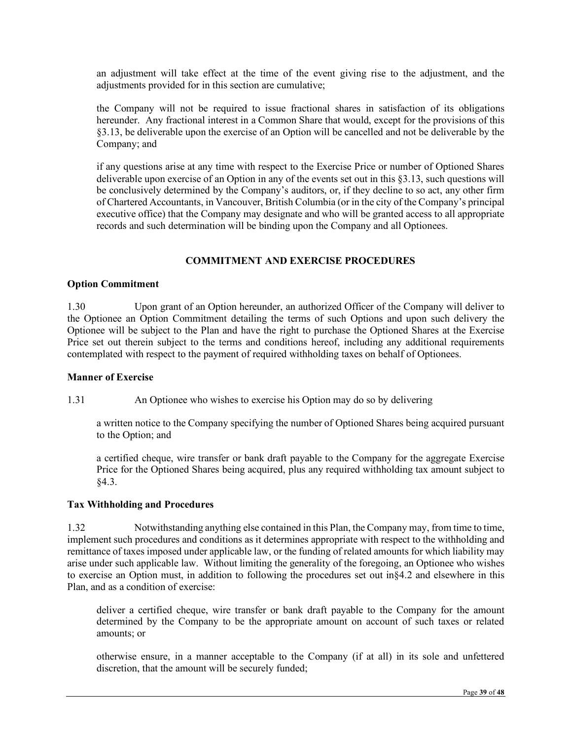an adjustment will take effect at the time of the event giving rise to the adjustment, and the adjustments provided for in this section are cumulative;

the Company will not be required to issue fractional shares in satisfaction of its obligations hereunder. Any fractional interest in a Common Share that would, except for the provisions of this §3.13, be deliverable upon the exercise of an Option will be cancelled and not be deliverable by the Company; and

if any questions arise at any time with respect to the Exercise Price or number of Optioned Shares deliverable upon exercise of an Option in any of the events set out in this §3.13, such questions will be conclusively determined by the Company's auditors, or, if they decline to so act, any other firm of Chartered Accountants, in Vancouver, British Columbia (or in the city of the Company's principal executive office) that the Company may designate and who will be granted access to all appropriate records and such determination will be binding upon the Company and all Optionees.

#### **COMMITMENT AND EXERCISE PROCEDURES**

#### **Option Commitment**

1.30 Upon grant of an Option hereunder, an authorized Officer of the Company will deliver to the Optionee an Option Commitment detailing the terms of such Options and upon such delivery the Optionee will be subject to the Plan and have the right to purchase the Optioned Shares at the Exercise Price set out therein subject to the terms and conditions hereof, including any additional requirements contemplated with respect to the payment of required withholding taxes on behalf of Optionees.

#### **Manner of Exercise**

1.31 An Optionee who wishes to exercise his Option may do so by delivering

a written notice to the Company specifying the number of Optioned Shares being acquired pursuant to the Option; and

a certified cheque, wire transfer or bank draft payable to the Company for the aggregate Exercise Price for the Optioned Shares being acquired, plus any required withholding tax amount subject to §4.3.

## **Tax Withholding and Procedures**

1.32 Notwithstanding anything else contained in this Plan, the Company may, from time to time, implement such procedures and conditions as it determines appropriate with respect to the withholding and remittance of taxes imposed under applicable law, or the funding of related amounts for which liability may arise under such applicable law. Without limiting the generality of the foregoing, an Optionee who wishes to exercise an Option must, in addition to following the procedures set out in§4.2 and elsewhere in this Plan, and as a condition of exercise:

deliver a certified cheque, wire transfer or bank draft payable to the Company for the amount determined by the Company to be the appropriate amount on account of such taxes or related amounts; or

otherwise ensure, in a manner acceptable to the Company (if at all) in its sole and unfettered discretion, that the amount will be securely funded;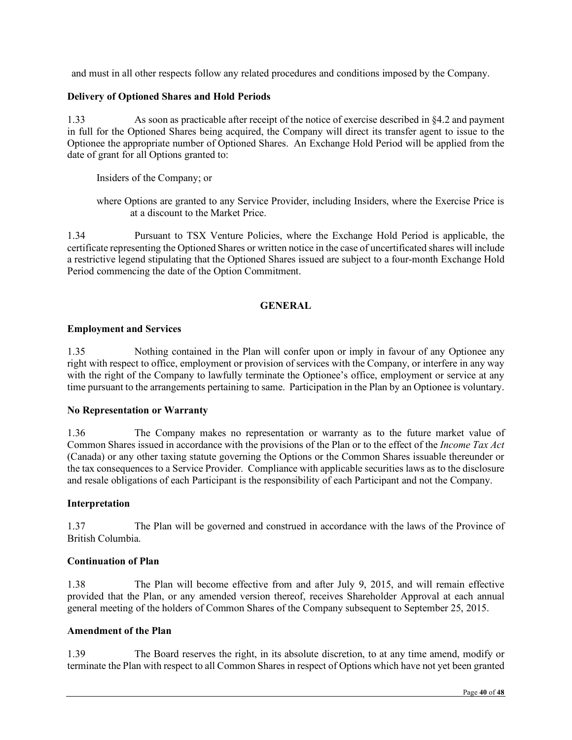and must in all other respects follow any related procedures and conditions imposed by the Company.

# **Delivery of Optioned Shares and Hold Periods**

1.33 As soon as practicable after receipt of the notice of exercise described in §4.2 and payment in full for the Optioned Shares being acquired, the Company will direct its transfer agent to issue to the Optionee the appropriate number of Optioned Shares. An Exchange Hold Period will be applied from the date of grant for all Options granted to:

Insiders of the Company; or

where Options are granted to any Service Provider, including Insiders, where the Exercise Price is at a discount to the Market Price.

1.34 Pursuant to TSX Venture Policies, where the Exchange Hold Period is applicable, the certificate representing the Optioned Shares or written notice in the case of uncertificated shares will include a restrictive legend stipulating that the Optioned Shares issued are subject to a four-month Exchange Hold Period commencing the date of the Option Commitment.

# **GENERAL**

# **Employment and Services**

1.35 Nothing contained in the Plan will confer upon or imply in favour of any Optionee any right with respect to office, employment or provision of services with the Company, or interfere in any way with the right of the Company to lawfully terminate the Optionee's office, employment or service at any time pursuant to the arrangements pertaining to same. Participation in the Plan by an Optionee is voluntary.

## **No Representation or Warranty**

1.36 The Company makes no representation or warranty as to the future market value of Common Shares issued in accordance with the provisions of the Plan or to the effect of the *Income Tax Act* (Canada) or any other taxing statute governing the Options or the Common Shares issuable thereunder or the tax consequences to a Service Provider. Compliance with applicable securities laws as to the disclosure and resale obligations of each Participant is the responsibility of each Participant and not the Company.

## **Interpretation**

1.37 The Plan will be governed and construed in accordance with the laws of the Province of British Columbia.

## **Continuation of Plan**

1.38 The Plan will become effective from and after July 9, 2015, and will remain effective provided that the Plan, or any amended version thereof, receives Shareholder Approval at each annual general meeting of the holders of Common Shares of the Company subsequent to September 25, 2015.

## **Amendment of the Plan**

1.39 The Board reserves the right, in its absolute discretion, to at any time amend, modify or terminate the Plan with respect to all Common Shares in respect of Options which have not yet been granted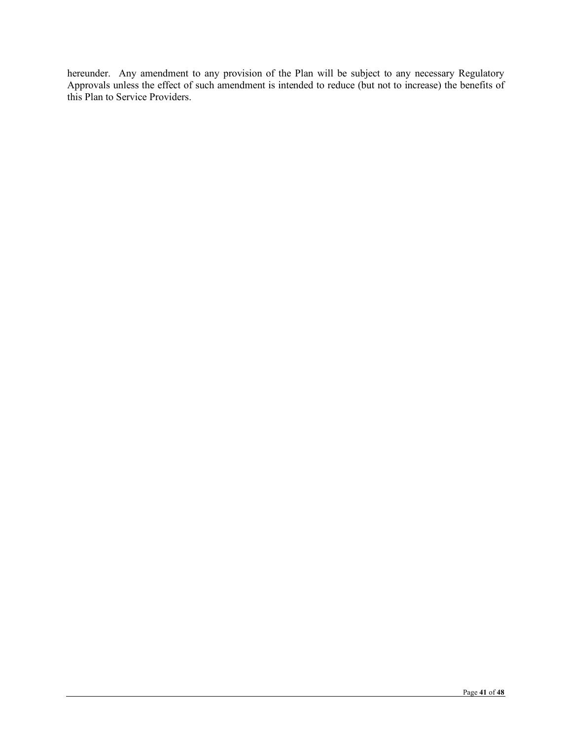hereunder. Any amendment to any provision of the Plan will be subject to any necessary Regulatory Approvals unless the effect of such amendment is intended to reduce (but not to increase) the benefits of this Plan to Service Providers.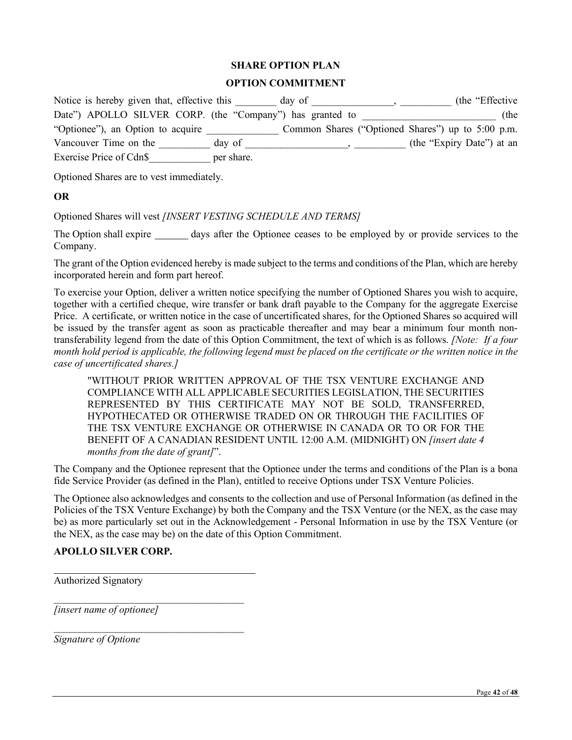## **SHARE OPTION PLAN**

## **OPTION COMMITMENT**

| Notice is hereby given that, effective this               | day of     | (the "Effective")                                 |
|-----------------------------------------------------------|------------|---------------------------------------------------|
| Date") APOLLO SILVER CORP. (the "Company") has granted to |            | (the                                              |
| "Optionee"), an Option to acquire                         |            | Common Shares ("Optioned Shares") up to 5:00 p.m. |
| Vancouver Time on the                                     | day of     | (the "Expiry Date") at an                         |
| Exercise Price of Cdn\$                                   | per share. |                                                   |

Optioned Shares are to vest immediately.

## **OR**

Optioned Shares will vest *[INSERT VESTING SCHEDULE AND TERMS]*

The Option shall expire <u>days</u> after the Optionee ceases to be employed by or provide services to the Company.

The grant of the Option evidenced hereby is made subject to the terms and conditions of the Plan, which are hereby incorporated herein and form part hereof.

To exercise your Option, deliver a written notice specifying the number of Optioned Shares you wish to acquire, together with a certified cheque, wire transfer or bank draft payable to the Company for the aggregate Exercise Price. A certificate, or written notice in the case of uncertificated shares, for the Optioned Shares so acquired will be issued by the transfer agent as soon as practicable thereafter and may bear a minimum four month nontransferability legend from the date of this Option Commitment, the text of which is as follows. *[Note: If a four month hold period is applicable, the following legend must be placed on the certificate or the written notice in the case of uncertificated shares.]*

"WITHOUT PRIOR WRITTEN APPROVAL OF THE TSX VENTURE EXCHANGE AND COMPLIANCE WITH ALL APPLICABLE SECURITIES LEGISLATION, THE SECURITIES REPRESENTED BY THIS CERTIFICATE MAY NOT BE SOLD, TRANSFERRED, HYPOTHECATED OR OTHERWISE TRADED ON OR THROUGH THE FACILITIES OF THE TSX VENTURE EXCHANGE OR OTHERWISE IN CANADA OR TO OR FOR THE BENEFIT OF A CANADIAN RESIDENT UNTIL 12:00 A.M. (MIDNIGHT) ON *[insert date 4 months from the date of grant]*".

The Company and the Optionee represent that the Optionee under the terms and conditions of the Plan is a bona fide Service Provider (as defined in the Plan), entitled to receive Options under TSX Venture Policies.

The Optionee also acknowledges and consents to the collection and use of Personal Information (as defined in the Policies of the TSX Venture Exchange) by both the Company and the TSX Venture (or the NEX, as the case may be) as more particularly set out in the Acknowledgement - Personal Information in use by the TSX Venture (or the NEX, as the case may be) on the date of this Option Commitment.

## **APOLLO SILVER CORP.**

Authorized Signatory

\_\_\_\_\_\_\_\_\_\_\_\_\_\_\_\_\_\_\_\_\_\_\_\_\_\_\_\_\_\_\_\_\_\_\_\_\_ *[insert name of optionee]*

 $\overline{\phantom{a}}$  , where  $\overline{\phantom{a}}$  , where  $\overline{\phantom{a}}$  , where  $\overline{\phantom{a}}$  , where  $\overline{\phantom{a}}$ 

*Signature of Optione*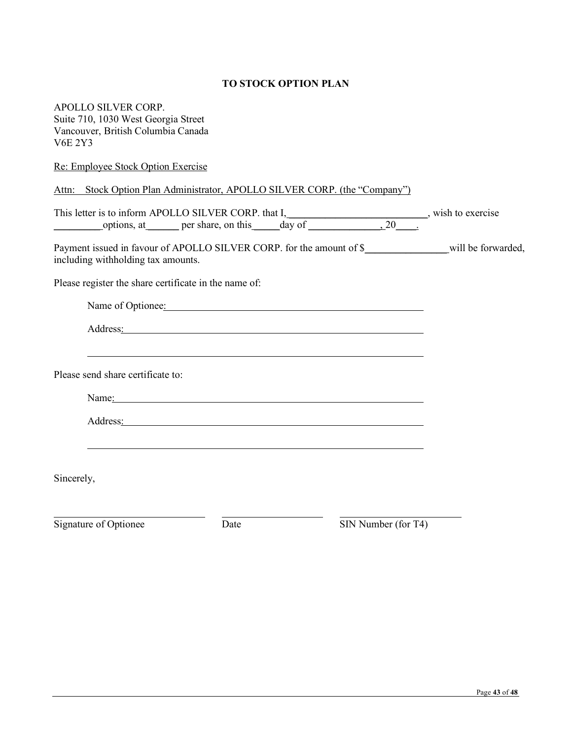# **TO STOCK OPTION PLAN**

APOLLO SILVER CORP. Suite 710, 1030 West Georgia Street Vancouver, British Columbia Canada V6E 2Y3

| Re: Employee Stock Option Exercise                                                                                                                                                                                             |  |
|--------------------------------------------------------------------------------------------------------------------------------------------------------------------------------------------------------------------------------|--|
| Attn: Stock Option Plan Administrator, APOLLO SILVER CORP. (the "Company")                                                                                                                                                     |  |
| This letter is to inform APOLLO SILVER CORP. that $I$ , wish to exercise options, at <u>exercise</u> per share, on this <u>day of 20</u> .                                                                                     |  |
| including withholding tax amounts.                                                                                                                                                                                             |  |
| Please register the share certificate in the name of:                                                                                                                                                                          |  |
| Name of Optionee: Name of Optionee:                                                                                                                                                                                            |  |
| Address <u>:</u>                                                                                                                                                                                                               |  |
| Please send share certificate to:                                                                                                                                                                                              |  |
| Name: Name and the state of the state of the state of the state of the state of the state of the state of the state of the state of the state of the state of the state of the state of the state of the state of the state of |  |
| Address: National Address: National Address: National Address: National Address: National Address: National Address: National Address: National Address: National Address: National Address: National Address: National Addres |  |
| Sincerely,                                                                                                                                                                                                                     |  |
|                                                                                                                                                                                                                                |  |

Signature of Optionee Date Date SIN Number (for T4)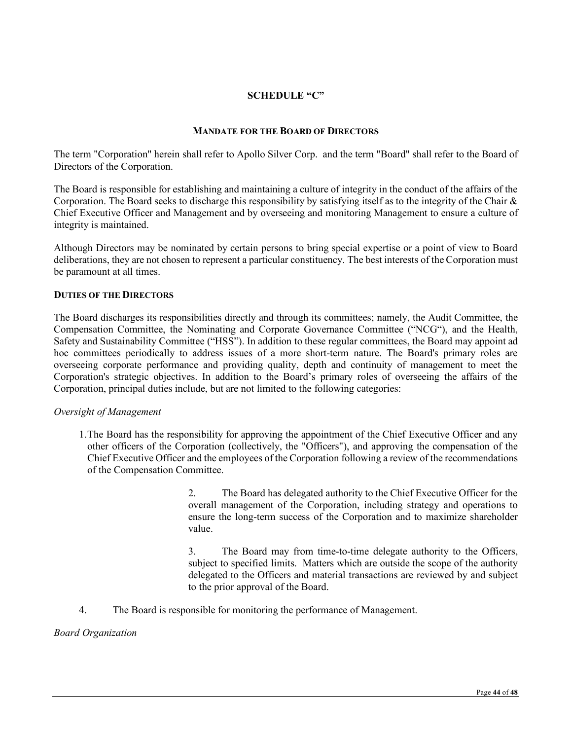# **SCHEDULE "C"**

## **MANDATE FOR THE BOARD OF DIRECTORS**

The term "Corporation" herein shall refer to Apollo Silver Corp. and the term "Board" shall refer to the Board of Directors of the Corporation.

The Board is responsible for establishing and maintaining a culture of integrity in the conduct of the affairs of the Corporation. The Board seeks to discharge this responsibility by satisfying itself as to the integrity of the Chair & Chief Executive Officer and Management and by overseeing and monitoring Management to ensure a culture of integrity is maintained.

Although Directors may be nominated by certain persons to bring special expertise or a point of view to Board deliberations, they are not chosen to represent a particular constituency. The best interests of the Corporation must be paramount at all times.

#### **DUTIES OF THE DIRECTORS**

The Board discharges its responsibilities directly and through its committees; namely, the Audit Committee, the Compensation Committee, the Nominating and Corporate Governance Committee ("NCG"), and the Health, Safety and Sustainability Committee ("HSS"). In addition to these regular committees, the Board may appoint ad hoc committees periodically to address issues of a more short-term nature. The Board's primary roles are overseeing corporate performance and providing quality, depth and continuity of management to meet the Corporation's strategic objectives. In addition to the Board's primary roles of overseeing the affairs of the Corporation, principal duties include, but are not limited to the following categories:

#### *Oversight of Management*

1.The Board has the responsibility for approving the appointment of the Chief Executive Officer and any other officers of the Corporation (collectively, the "Officers"), and approving the compensation of the Chief Executive Officer and the employees of the Corporation following a review of the recommendations of the Compensation Committee.

> 2. The Board has delegated authority to the Chief Executive Officer for the overall management of the Corporation, including strategy and operations to ensure the long-term success of the Corporation and to maximize shareholder value.

> 3. The Board may from time-to-time delegate authority to the Officers, subject to specified limits. Matters which are outside the scope of the authority delegated to the Officers and material transactions are reviewed by and subject to the prior approval of the Board.

4. The Board is responsible for monitoring the performance of Management.

*Board Organization*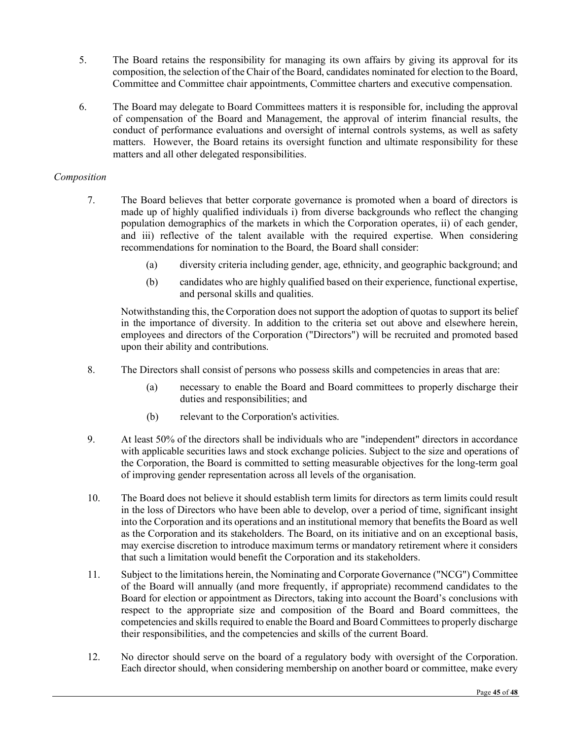- 5. The Board retains the responsibility for managing its own affairs by giving its approval for its composition, the selection of the Chair of the Board, candidates nominated for election to the Board, Committee and Committee chair appointments, Committee charters and executive compensation.
- 6. The Board may delegate to Board Committees matters it is responsible for, including the approval of compensation of the Board and Management, the approval of interim financial results, the conduct of performance evaluations and oversight of internal controls systems, as well as safety matters. However, the Board retains its oversight function and ultimate responsibility for these matters and all other delegated responsibilities.

## *Composition*

- 7. The Board believes that better corporate governance is promoted when a board of directors is made up of highly qualified individuals i) from diverse backgrounds who reflect the changing population demographics of the markets in which the Corporation operates, ii) of each gender, and iii) reflective of the talent available with the required expertise. When considering recommendations for nomination to the Board, the Board shall consider:
	- (a) diversity criteria including gender, age, ethnicity, and geographic background; and
	- (b) candidates who are highly qualified based on their experience, functional expertise, and personal skills and qualities.

Notwithstanding this, the Corporation does not support the adoption of quotas to support its belief in the importance of diversity. In addition to the criteria set out above and elsewhere herein, employees and directors of the Corporation ("Directors") will be recruited and promoted based upon their ability and contributions.

- 8. The Directors shall consist of persons who possess skills and competencies in areas that are:
	- (a) necessary to enable the Board and Board committees to properly discharge their duties and responsibilities; and
	- (b) relevant to the Corporation's activities.
- 9. At least 50% of the directors shall be individuals who are "independent" directors in accordance with applicable securities laws and stock exchange policies. Subject to the size and operations of the Corporation, the Board is committed to setting measurable objectives for the long-term goal of improving gender representation across all levels of the organisation.
- 10. The Board does not believe it should establish term limits for directors as term limits could result in the loss of Directors who have been able to develop, over a period of time, significant insight into the Corporation and its operations and an institutional memory that benefits the Board as well as the Corporation and its stakeholders. The Board, on its initiative and on an exceptional basis, may exercise discretion to introduce maximum terms or mandatory retirement where it considers that such a limitation would benefit the Corporation and its stakeholders.
- 11. Subject to the limitations herein, the Nominating and Corporate Governance ("NCG") Committee of the Board will annually (and more frequently, if appropriate) recommend candidates to the Board for election or appointment as Directors, taking into account the Board's conclusions with respect to the appropriate size and composition of the Board and Board committees, the competencies and skills required to enable the Board and Board Committees to properly discharge their responsibilities, and the competencies and skills of the current Board.
- 12. No director should serve on the board of a regulatory body with oversight of the Corporation. Each director should, when considering membership on another board or committee, make every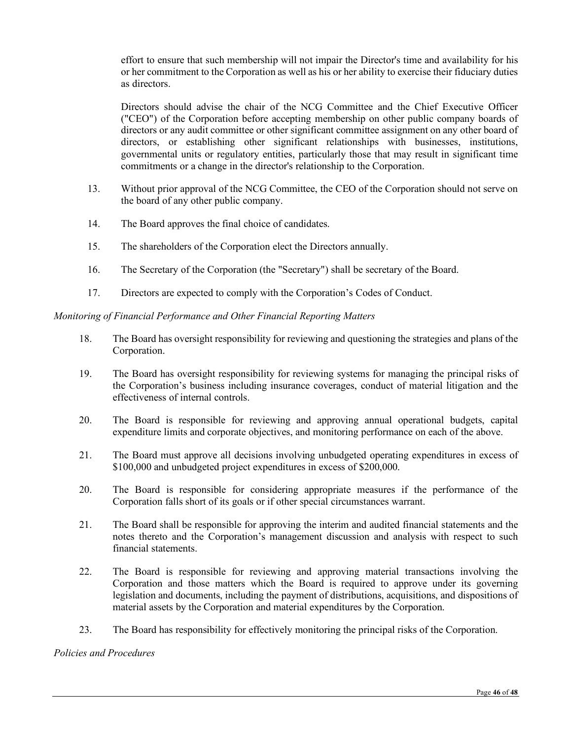effort to ensure that such membership will not impair the Director's time and availability for his or her commitment to the Corporation as well as his or her ability to exercise their fiduciary duties as directors.

Directors should advise the chair of the NCG Committee and the Chief Executive Officer ("CEO") of the Corporation before accepting membership on other public company boards of directors or any audit committee or other significant committee assignment on any other board of directors, or establishing other significant relationships with businesses, institutions, governmental units or regulatory entities, particularly those that may result in significant time commitments or a change in the director's relationship to the Corporation.

- 13. Without prior approval of the NCG Committee, the CEO of the Corporation should not serve on the board of any other public company.
- 14. The Board approves the final choice of candidates.
- 15. The shareholders of the Corporation elect the Directors annually.
- 16. The Secretary of the Corporation (the "Secretary") shall be secretary of the Board.
- 17. Directors are expected to comply with the Corporation's Codes of Conduct.

## *Monitoring of Financial Performance and Other Financial Reporting Matters*

- 18. The Board has oversight responsibility for reviewing and questioning the strategies and plans of the Corporation.
- 19. The Board has oversight responsibility for reviewing systems for managing the principal risks of the Corporation's business including insurance coverages, conduct of material litigation and the effectiveness of internal controls.
- 20. The Board is responsible for reviewing and approving annual operational budgets, capital expenditure limits and corporate objectives, and monitoring performance on each of the above.
- 21. The Board must approve all decisions involving unbudgeted operating expenditures in excess of \$100,000 and unbudgeted project expenditures in excess of \$200,000.
- 20. The Board is responsible for considering appropriate measures if the performance of the Corporation falls short of its goals or if other special circumstances warrant.
- 21. The Board shall be responsible for approving the interim and audited financial statements and the notes thereto and the Corporation's management discussion and analysis with respect to such financial statements.
- 22. The Board is responsible for reviewing and approving material transactions involving the Corporation and those matters which the Board is required to approve under its governing legislation and documents, including the payment of distributions, acquisitions, and dispositions of material assets by the Corporation and material expenditures by the Corporation.
- 23. The Board has responsibility for effectively monitoring the principal risks of the Corporation.

#### *Policies and Procedures*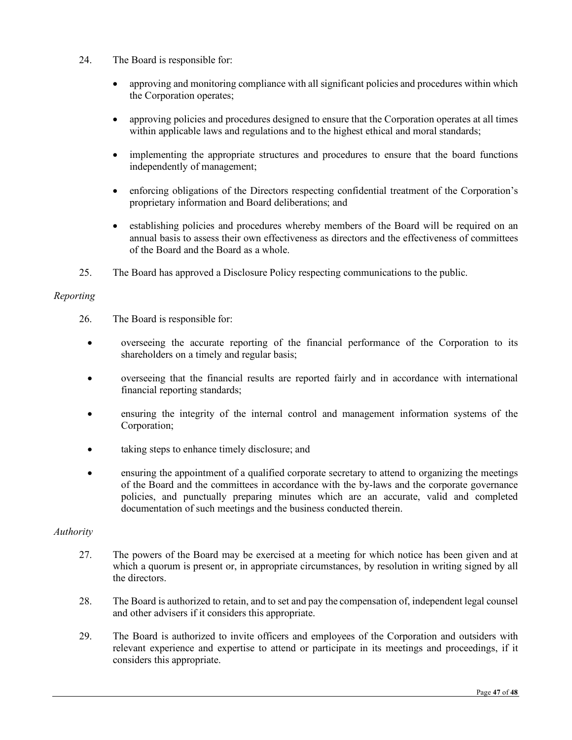- 24. The Board is responsible for:
	- approving and monitoring compliance with all significant policies and procedures within which the Corporation operates;
	- approving policies and procedures designed to ensure that the Corporation operates at all times within applicable laws and regulations and to the highest ethical and moral standards;
	- implementing the appropriate structures and procedures to ensure that the board functions independently of management;
	- enforcing obligations of the Directors respecting confidential treatment of the Corporation's proprietary information and Board deliberations; and
	- establishing policies and procedures whereby members of the Board will be required on an annual basis to assess their own effectiveness as directors and the effectiveness of committees of the Board and the Board as a whole.
- 25. The Board has approved a Disclosure Policy respecting communications to the public.

## *Reporting*

- 26. The Board is responsible for:
	- overseeing the accurate reporting of the financial performance of the Corporation to its shareholders on a timely and regular basis;
	- overseeing that the financial results are reported fairly and in accordance with international financial reporting standards;
	- ensuring the integrity of the internal control and management information systems of the Corporation;
	- taking steps to enhance timely disclosure; and
	- ensuring the appointment of a qualified corporate secretary to attend to organizing the meetings of the Board and the committees in accordance with the by-laws and the corporate governance policies, and punctually preparing minutes which are an accurate, valid and completed documentation of such meetings and the business conducted therein.

## *Authority*

- 27. The powers of the Board may be exercised at a meeting for which notice has been given and at which a quorum is present or, in appropriate circumstances, by resolution in writing signed by all the directors.
- 28. The Board is authorized to retain, and to set and pay the compensation of, independent legal counsel and other advisers if it considers this appropriate.
- 29. The Board is authorized to invite officers and employees of the Corporation and outsiders with relevant experience and expertise to attend or participate in its meetings and proceedings, if it considers this appropriate.